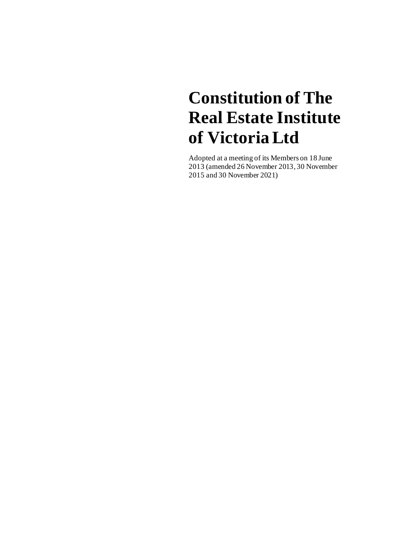# **Constitution of The Real Estate Institute of Victoria Ltd**

Adopted at a meeting of its Members on 18 June 2013 (amended 26 November 2013, 30 November 2015 and 30 November 2021)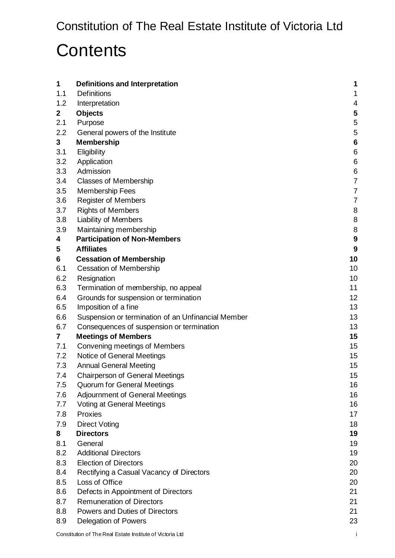# **Contents**

| 1           | <b>Definitions and Interpretation</b>                      | 1              |
|-------------|------------------------------------------------------------|----------------|
| 1.1         | <b>Definitions</b>                                         | 1              |
| 1.2         | Interpretation                                             | 4              |
| $\mathbf 2$ | <b>Objects</b>                                             | 5              |
| 2.1         | Purpose                                                    | 5              |
| 2.2         | General powers of the Institute                            | 5              |
| 3           | <b>Membership</b>                                          | 6              |
| 3.1         | Eligibility                                                | 6              |
| 3.2         | Application                                                | 6              |
| 3.3         | Admission                                                  | 6              |
| 3.4         | <b>Classes of Membership</b>                               | $\overline{7}$ |
| 3.5         | Membership Fees                                            | 7              |
| 3.6         | <b>Register of Members</b>                                 | 7              |
| 3.7         | <b>Rights of Members</b>                                   | 8              |
| 3.8         | <b>Liability of Members</b>                                | 8              |
| 3.9         | Maintaining membership                                     | 8              |
| 4           | <b>Participation of Non-Members</b>                        | 9              |
| 5           | <b>Affiliates</b>                                          | 9              |
| 6           | <b>Cessation of Membership</b>                             | 10             |
| 6.1         | <b>Cessation of Membership</b>                             | 10             |
| 6.2         | Resignation                                                | 10             |
| 6.3         | Termination of membership, no appeal                       | 11             |
| 6.4         | Grounds for suspension or termination                      | 12             |
| 6.5         | Imposition of a fine                                       | 13             |
| 6.6         | Suspension or termination of an Unfinancial Member         | 13             |
| 6.7         | Consequences of suspension or termination                  | 13             |
| 7           | <b>Meetings of Members</b>                                 | 15             |
| 7.1         | Convening meetings of Members                              | 15             |
| 7.2         | Notice of General Meetings                                 | 15             |
| 7.3         | <b>Annual General Meeting</b>                              | 15             |
| 7.4         | <b>Chairperson of General Meetings</b>                     | 15             |
| 7.5         | Quorum for General Meetings                                | 16             |
| 7.6         | <b>Adjournment of General Meetings</b>                     | 16             |
| 7.7         | <b>Voting at General Meetings</b>                          | 16             |
| 7.8         | Proxies                                                    | 17             |
| 7.9         | <b>Direct Voting</b>                                       | 18             |
| 8           | <b>Directors</b>                                           | 19             |
| 8.1<br>8.2  | General<br><b>Additional Directors</b>                     | 19<br>19       |
| 8.3         | <b>Election of Directors</b>                               | 20             |
| 8.4         |                                                            | 20             |
|             | Rectifying a Casual Vacancy of Directors<br>Loss of Office |                |
| 8.5<br>8.6  | Defects in Appointment of Directors                        | 20<br>21       |
| 8.7         | <b>Remuneration of Directors</b>                           | 21             |
| 8.8         | Powers and Duties of Directors                             | 21             |
| 8.9         | <b>Delegation of Powers</b>                                | 23             |
|             |                                                            |                |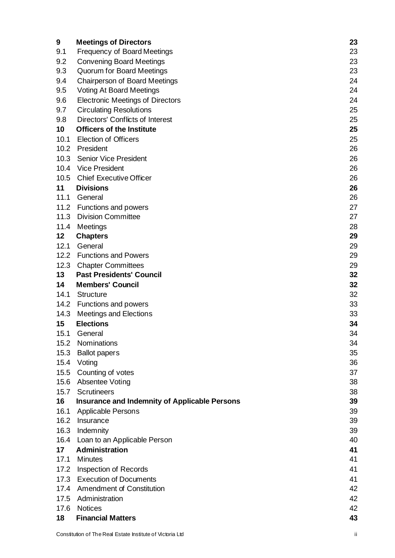| 9    | <b>Meetings of Directors</b>                         | 23 |
|------|------------------------------------------------------|----|
| 9.1  | <b>Frequency of Board Meetings</b>                   | 23 |
| 9.2  | <b>Convening Board Meetings</b>                      | 23 |
| 9.3  | Quorum for Board Meetings                            | 23 |
| 9.4  | <b>Chairperson of Board Meetings</b>                 | 24 |
| 9.5  | <b>Voting At Board Meetings</b>                      | 24 |
| 9.6  | <b>Electronic Meetings of Directors</b>              | 24 |
| 9.7  | <b>Circulating Resolutions</b>                       | 25 |
| 9.8  | <b>Directors' Conflicts of Interest</b>              | 25 |
| 10   | <b>Officers of the Institute</b>                     | 25 |
| 10.1 | <b>Election of Officers</b>                          | 25 |
| 10.2 | President                                            | 26 |
| 10.3 | <b>Senior Vice President</b>                         | 26 |
| 10.4 | <b>Vice President</b>                                | 26 |
| 10.5 | <b>Chief Executive Officer</b>                       | 26 |
| 11   | <b>Divisions</b>                                     | 26 |
| 11.1 | General                                              | 26 |
|      | 11.2 Functions and powers                            | 27 |
| 11.3 | <b>Division Committee</b>                            | 27 |
| 11.4 | Meetings                                             | 28 |
| 12   | <b>Chapters</b>                                      | 29 |
| 12.1 | General                                              | 29 |
| 12.2 | <b>Functions and Powers</b>                          | 29 |
| 12.3 | <b>Chapter Committees</b>                            | 29 |
| 13   | <b>Past Presidents' Council</b>                      | 32 |
| 14   | <b>Members' Council</b>                              | 32 |
| 14.1 | <b>Structure</b>                                     | 32 |
| 14.2 | Functions and powers                                 | 33 |
| 14.3 | <b>Meetings and Elections</b>                        | 33 |
| 15   | <b>Elections</b>                                     | 34 |
|      | 15.1 General                                         | 34 |
| 15.2 | Nominations                                          | 34 |
| 15.3 | <b>Ballot papers</b>                                 | 35 |
| 15.4 | Voting                                               | 36 |
| 15.5 | Counting of votes                                    | 37 |
|      | 15.6 Absentee Voting                                 | 38 |
| 15.7 | <b>Scrutineers</b>                                   | 38 |
| 16   | <b>Insurance and Indemnity of Applicable Persons</b> | 39 |
| 16.1 | <b>Applicable Persons</b>                            | 39 |
| 16.2 | Insurance                                            | 39 |
| 16.3 | Indemnity                                            | 39 |
| 16.4 | Loan to an Applicable Person                         | 40 |
| 17   | <b>Administration</b>                                | 41 |
| 17.1 | <b>Minutes</b>                                       | 41 |
| 17.2 | Inspection of Records                                | 41 |
| 17.3 | <b>Execution of Documents</b>                        | 41 |
| 17.4 | <b>Amendment of Constitution</b>                     | 42 |
| 17.5 | Administration                                       | 42 |
| 17.6 | <b>Notices</b>                                       | 42 |
| 18   | <b>Financial Matters</b>                             | 43 |
|      |                                                      |    |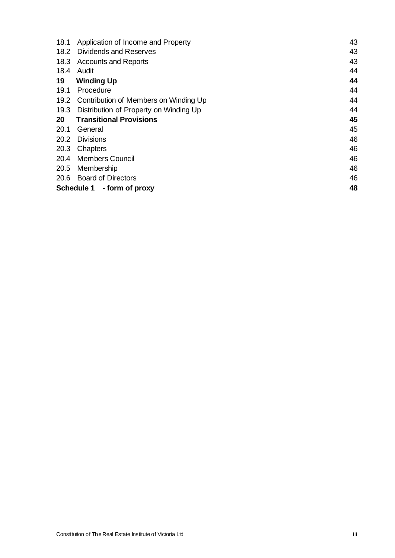| 18.1                             | Application of Income and Property     | 43 |  |
|----------------------------------|----------------------------------------|----|--|
| 18.2                             | Dividends and Reserves                 | 43 |  |
| 18.3                             | <b>Accounts and Reports</b>            | 43 |  |
| 18.4                             | Audit                                  | 44 |  |
| 19                               | <b>Winding Up</b>                      | 44 |  |
| 19.1                             | Procedure                              | 44 |  |
| 19.2                             | Contribution of Members on Winding Up  | 44 |  |
| 19.3                             | Distribution of Property on Winding Up | 44 |  |
| 20                               | <b>Transitional Provisions</b>         | 45 |  |
| 20.1                             | General                                | 45 |  |
| 20.2                             | <b>Divisions</b>                       | 46 |  |
| 20.3                             | Chapters                               | 46 |  |
| 20.4                             | <b>Members Council</b>                 | 46 |  |
| 20.5                             | Membership                             | 46 |  |
| 20.6                             | <b>Board of Directors</b>              | 46 |  |
| 48<br>Schedule 1 - form of proxy |                                        |    |  |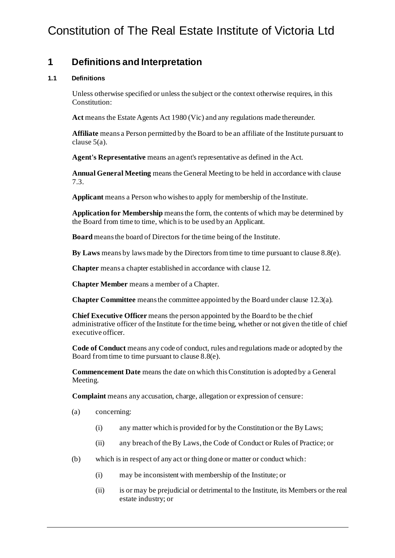# Constitution of The Real Estate Institute of Victoria Ltd

# <span id="page-4-0"></span>**1 Definitions and Interpretation**

# <span id="page-4-1"></span>**1.1 Definitions**

Unless otherwise specified or unless the subject or the context otherwise requires, in this Constitution:

**Act** means the Estate Agents Act 1980 (Vic) and any regulations made thereunder.

**Affiliate** means a Person permitted by the Board to be an affiliate of the Institute pursuant to claus[e 5\(a\)](#page-12-2).

**Agent's Representative** means an agent's representative as defined in the Act.

**Annual General Meeting** means the General Meeting to be held in accordance with clause [7.3.](#page-18-5)

**Applicant** means a Person who wishes to apply for membership of the Institute.

**Application for Membership** means the form, the contents of which may be determined by the Board from time to time, which is to be used by an Applicant.

**Board** means the board of Directors for the time being of the Institute.

**By Laws** means by laws made by the Directors from time to time pursuant to claus[e 8.8\(e\)](#page-25-0).

**Chapter** means a chapter established in accordance with claus[e 12](#page-32-4).

**Chapter Member** means a member of a Chapter.

**Chapter Committee** means the committee appointed by the Board under claus[e 12.3\(a\)](#page-32-5).

**Chief Executive Officer** means the person appointed by the Board to be the chief administrative officer of the Institute for the time being, whether or not given the title of chief executive officer.

**Code of Conduct** means any code of conduct, rules and regulations made or adopted by the Board from time to time pursuant to claus[e 8.8\(e\)](#page-25-0).

**Commencement Date** means the date on which this Constitution is adopted by a General Meeting.

**Complaint** means any accusation, charge, allegation or expression of censure:

- (a) concerning:
	- (i) any matter which is provided for by the Constitution or the By Laws;
	- (ii) any breach of the By Laws, the Code of Conduct or Rules of Practice; or
- (b) which is in respect of any act or thing done or matter or conduct which:
	- (i) may be inconsistent with membership of the Institute; or
	- (ii) is or may be prejudicial or detrimental to the Institute, its Members or the real estate industry; or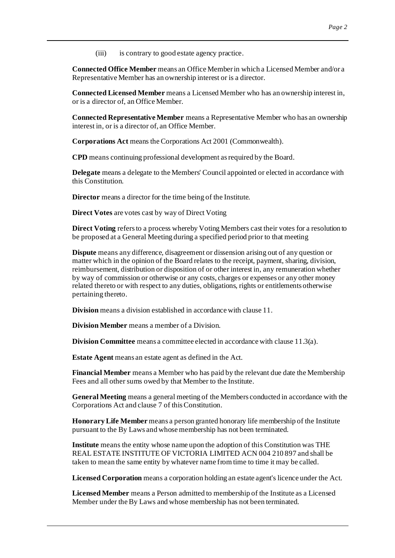(iii) is contrary to good estate agency practice.

**Connected Office Member** means an Office Member in which a Licensed Member and/or a Representative Member has an ownership interest or is a director.

**Connected Licensed Member** means a Licensed Member who has an ownership interest in, or is a director of, an Office Member.

**Connected Representative Member** means a Representative Member who has an ownership interest in, or is a director of, an Office Member.

**Corporations Act** means the Corporations Act 2001 (Commonwealth).

**CPD** means continuing professional development as required by the Board.

**Delegate** means a delegate to the Members' Council appointed or elected in accordance with this Constitution.

**Director** means a director for the time being of the Institute.

**Direct Votes** are votes cast by way of Direct Voting

**Direct Voting** refers to a process whereby Voting Members cast their votes for a resolution to be proposed at a General Meeting during a specified period prior to that meeting

**Dispute** means any difference, disagreement or dissension arising out of any question or matter which in the opinion of the Board relates to the receipt, payment, sharing, division, reimbursement, distribution or disposition of or other interest in, any remuneration whether by way of commission or otherwise or any costs, charges or expenses or any other money related thereto or with respect to any duties, obligations, rights or entitlements otherwise pertaining thereto.

**Division** means a division established in accordance with claus[e 11](#page-29-6).

**Division Member** means a member of a Division.

**Division Committee** means a committee elected in accordance with claus[e 11.3\(a\)](#page-30-2).

**Estate Agent** means an estate agent as defined in the Act.

**Financial Member** means a Member who has paid by the relevant due date the Membership Fees and all other sums owed by that Member to the Institute.

**General Meeting** means a general meeting of the Members conducted in accordance with the Corporations Act and claus[e 7](#page-18-6) of thisConstitution.

**Honorary Life Member** means a person granted honorary life membership of the Institute pursuant to the By Laws and whose membership has not been terminated.

**Institute** means the entity whose name upon the adoption of this Constitution was THE REAL ESTATE INSTITUTE OF VICTORIA LIMITED ACN 004 210 897 and shall be taken to mean the same entity by whatever name from time to time it may be called.

**Licensed Corporation** means a corporation holding an estate agent's licence under the Act.

**Licensed Member** means a Person admitted to membership of the Institute as a Licensed Member under the By Laws and whose membership has not been terminated.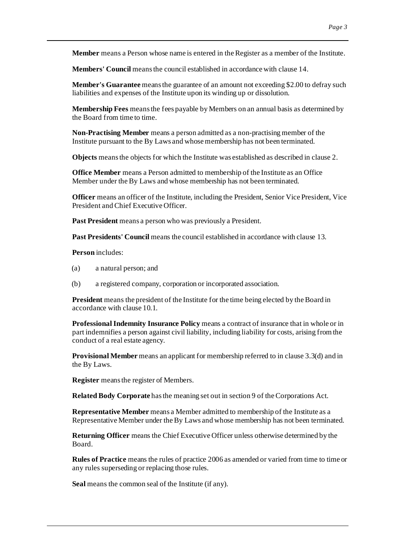**Member** means a Person whose name is entered in the Register as a member of the Institute.

**Members' Council** means the council established in accordance with claus[e 14](#page-35-3).

**Member's Guarantee** means the guarantee of an amount not exceeding \$2.00 to defray such liabilities and expenses of the Institute upon its winding up or dissolution.

**Membership Fees** means the fees payable by Members on an annual basis as determined by the Board from time to time.

**Non-Practising Member** means a person admitted as a non-practising member of the Institute pursuant to the By Laws and whose membership has not been terminated.

**Objects** means the objects for which the Institute was established as described in claus[e 2](#page-8-3).

**Office Member** means a Person admitted to membership of the Institute as an Office Member under the By Laws and whose membership has not been terminated.

**Officer** means an officer of the Institute, including the President, Senior Vice President, Vice President and Chief Executive Officer.

**Past President** means a person who was previously a President.

**Past Presidents' Council** means the council established in accordance with claus[e 13](#page-35-4).

**Person** includes:

- (a) a natural person; and
- (b) a registered company, corporation or incorporated association.

**President** means the president of the Institute for the time being elected by the Board in accordance with claus[e 10.1](#page-28-4).

**Professional Indemnity Insurance Policy** means a contract of insurance that in whole or in part indemnifies a person against civil liability, including liability for costs, arising from the conduct of a real estate agency.

**Provisional Member** means an applicant for membership referred to in claus[e 3.3\(d\)](#page-10-3) and in the By Laws.

**Register** means the register of Members.

**Related Body Corporate** has the meaning set out in section 9 of the Corporations Act.

**Representative Member** means a Member admitted to membership of the Institute as a Representative Member under the By Laws and whose membership has not been terminated.

**Returning Officer** means the Chief Executive Officer unless otherwise determined by the Board.

**Rules of Practice** means the rules of practice 2006 as amended or varied from time to time or any rules superseding or replacing those rules.

**Seal** means the common seal of the Institute (if any).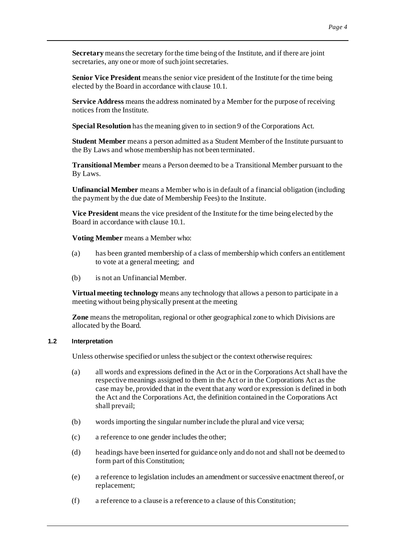**Secretary** means the secretary for the time being of the Institute, and if there are joint secretaries, any one or more of such joint secretaries.

**Senior Vice President** means the senior vice president of the Institute for the time being elected by the Board in accordance with claus[e 10.1](#page-28-4).

**Service Address** means the address nominated by a Member for the purpose of receiving notices from the Institute.

**Special Resolution** has the meaning given to in section 9 of the Corporations Act.

**Student Member** means a person admitted as a Student Member of the Institute pursuant to the By Laws and whose membership has not been terminated.

**Transitional Member** means a Person deemed to be a Transitional Member pursuant to the By Laws.

**Unfinancial Member** means a Member who is in default of a financial obligation (including the payment by the due date of Membership Fees) to the Institute.

**Vice President** means the vice president of the Institute for the time being elected by the Board in accordance with claus[e 10.1](#page-28-4).

**Voting Member** means a Member who:

- (a) has been granted membership of a class of membership which confers an entitlement to vote at a general meeting; and
- (b) is not an Unfinancial Member.

**Virtual meeting technology** means any technology that allows a person to participate in a meeting without being physically present at the meeting

**Zone** means the metropolitan, regional or other geographical zone to which Divisions are allocated by the Board.

# <span id="page-7-0"></span>**1.2 Interpretation**

Unless otherwise specified or unless the subject or the context otherwise requires:

- (a) all words and expressions defined in the Act or in the Corporations Actshall have the respective meanings assigned to them in the Act or in the Corporations Act as the case may be, provided that in the event that any word or expression is defined in both the Act and the Corporations Act, the definition contained in the Corporations Act shall prevail;
- (b) words importing the singular number include the plural and vice versa;
- (c) a reference to one gender includes the other;
- (d) headings have been inserted for guidance only and do not and shall not be deemed to form part of this Constitution;
- (e) a reference to legislation includes an amendment or successive enactment thereof, or replacement;
- (f) a reference to a clause is a reference to a clause of this Constitution;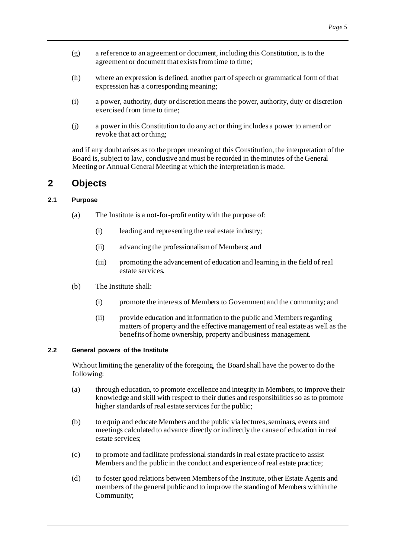- (g) a reference to an agreement or document, including this Constitution, is to the agreement or document that exists from time to time;
- (h) where an expression is defined, another part of speech or grammatical form of that expression has a corresponding meaning;
- (i) a power, authority, duty or discretion means the power, authority, duty or discretion exercised from time to time;
- (j) a power in this Constitution to do any act or thing includes a power to amend or revoke that act or thing;

and if any doubt arises as to the proper meaning of this Constitution, the interpretation of the Board is, subject to law, conclusive and must be recorded in the minutes of the General Meeting or Annual General Meeting at which the interpretation is made.

# <span id="page-8-3"></span><span id="page-8-0"></span>**2 Objects**

# <span id="page-8-4"></span><span id="page-8-1"></span>**2.1 Purpose**

- (a) The Institute is a not-for-profit entity with the purpose of:
	- (i) leading and representing the real estate industry;
	- (ii) advancing the professionalism of Members; and
	- (iii) promoting the advancement of education and learning in the field of real estate services.
- (b) The Institute shall:
	- (i) promote the interests of Members to Government and the community; and
	- (ii) provide education and information to the public and Members regarding matters of property and the effective management of real estate as well as the benefits of home ownership, property and business management.

# <span id="page-8-2"></span>**2.2 General powers of the Institute**

Without limiting the generality of the foregoing, the Board shall have the power to do the following:

- (a) through education, to promote excellence and integrity in Members, to improve their knowledge and skill with respect to their duties and responsibilities so as to promote higher standards of real estate services for the public;
- (b) to equip and educate Members and the public via lectures, seminars, events and meetings calculated to advance directly or indirectly the cause of education in real estate services;
- (c) to promote and facilitate professional standards in real estate practice to assist Members and the public in the conduct and experience of real estate practice;
- (d) to foster good relations between Members of the Institute, other Estate Agents and members of the general public and to improve the standing of Members within the Community;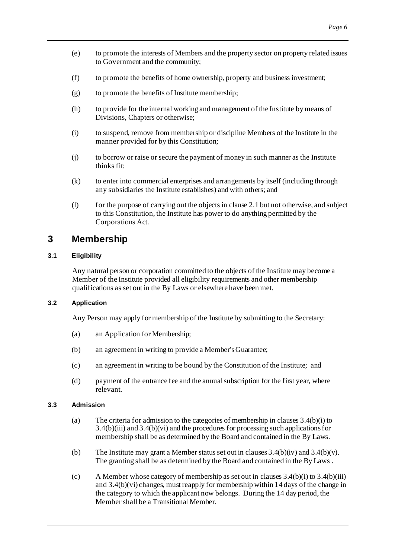- (e) to promote the interests of Members and the property sector on property related issues to Government and the community;
- (f) to promote the benefits of home ownership, property and business investment;
- (g) to promote the benefits of Institute membership;
- (h) to provide for the internal working and management of the Institute by means of Divisions, Chapters or otherwise;
- (i) to suspend, remove from membership or discipline Members of the Institute in the manner provided for by this Constitution;
- (j) to borrow or raise or secure the payment of money in such manner as the Institute thinks fit;
- (k) to enter into commercial enterprises and arrangements by itself (including through any subsidiaries the Institute establishes) and with others; and
- (1) for the purpose of carrying out the objects in claus[e 2.1](#page-8-4) but not otherwise, and subject to this Constitution, the Institute has power to do anything permitted by the Corporations Act.

# <span id="page-9-0"></span>**3 Membership**

# <span id="page-9-1"></span>**3.1 Eligibility**

Any natural person or corporation committed to the objects of the Institute may become a Member of the Institute provided all eligibility requirements and other membership qualifications as set out in the By Laws or elsewhere have been met.

#### <span id="page-9-2"></span>**3.2 Application**

Any Person may apply for membership of the Institute by submitting to the Secretary:

- (a) an Application for Membership;
- (b) an agreement in writing to provide a Member's Guarantee;
- (c) an agreement in writing to be bound by the Constitution of the Institute; and
- (d) payment of the entrance fee and the annual subscription for the first year, where relevant.

# <span id="page-9-3"></span>**3.3 Admission**

- (a) The criteria for admission to the categories of membership in clauses [3.4\(b\)\(i\)](#page-10-4) to [3.4\(b\)\(iii\)](#page-10-5) an[d 3.4\(b\)\(vi\)](#page-10-6) and the procedures for processing such applications for membership shall be as determined by the Board and contained in the By Laws.
- (b) The Institute may grant a Member status set out in clauses  $3.4(b)(iv)$  and  $3.4(b)(v)$ . The granting shall be as determined by the Board and contained in the By Laws .
- (c) A Member whose category of membership as set out in clauses  $3.4(b)(i)$  to  $3.4(b)(iii)$ an[d 3.4\(b\)\(vi\)](#page-10-6) changes, must reapply for membership within 14 days of the change in the category to which the applicant now belongs. During the 14 day period, the Member shall be a Transitional Member.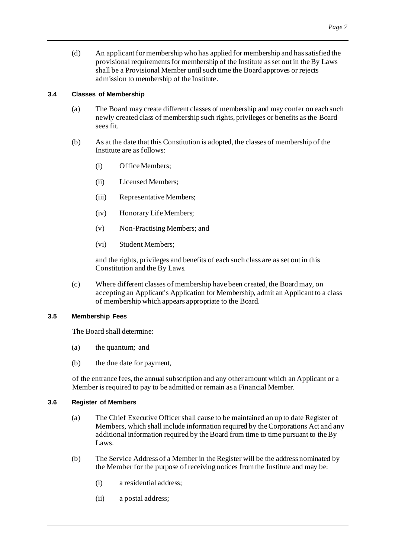<span id="page-10-3"></span>(d) An applicant for membership who has applied for membership and has satisfied the provisional requirements for membership of the Institute as set out in the By Laws shall be a Provisional Member until such time the Board approves or rejects admission to membership of the Institute.

# <span id="page-10-0"></span>**3.4 Classes of Membership**

- (a) The Board may create different classes of membership and may confer on each such newly created class of membership such rights, privileges or benefits as the Board sees fit.
- <span id="page-10-5"></span><span id="page-10-4"></span>(b) As at the date that this Constitution is adopted, the classes of membership of the Institute are as follows:
	- (i) Office Members;
	- (ii) Licensed Members;
	- (iii) Representative Members;
	- (iv) Honorary Life Members;
	- (v) Non-Practising Members; and
	- (vi) Student Members;

<span id="page-10-8"></span><span id="page-10-7"></span>and the rights, privileges and benefits of each such class are as set out in this Constitution and the By Laws.

<span id="page-10-6"></span>(c) Where different classes of membership have been created, the Board may, on accepting an Applicant's Application for Membership, admit an Applicant to a class of membership which appears appropriate to the Board.

# <span id="page-10-1"></span>**3.5 Membership Fees**

The Board shall determine:

- (a) the quantum; and
- (b) the due date for payment,

of the entrance fees, the annual subscription and any other amount which an Applicant or a Member is required to pay to be admitted or remain as a Financial Member.

# <span id="page-10-2"></span>**3.6 Register of Members**

- (a) The Chief Executive Officer shall cause to be maintained an up to date Register of Members, which shall include information required by the Corporations Act and any additional information required by the Board from time to time pursuant to the By Laws.
- (b) The Service Address of a Member in the Register will be the address nominated by the Member for the purpose of receiving notices from the Institute and may be:
	- (i) a residential address;
	- (ii) a postal address;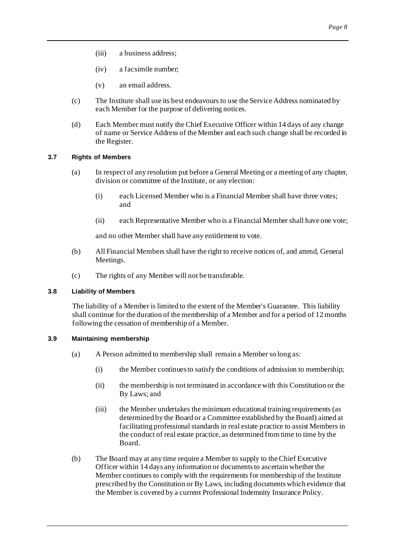- (iii) a business address;
- (iv) a facsimile number;
- (v) an email address.
- (c) The Institute shall use its best endeavours to use the Service Address nominated by each Member for the purpose of delivering notices.
- (d) Each Member must notify the Chief Executive Officer within 14 days of any change of name or Service Address of the Member and each such change shall be recorded in the Register.

### <span id="page-11-3"></span><span id="page-11-0"></span>**3.7 Rights of Members**

- (a) In respect of any resolution put before a General Meeting or a meeting of any chapter, division or committee of the Institute, or any election:
	- (i) each Licensed Member who is a Financial Member shall have three votes; and
	- (ii) each Representative Member who is a Financial Member shall have one vote;

and no other Member shall have any entitlement to vote.

- (b) All Financial Members shall have the right to receive notices of, and attend, General Meetings.
- (c) The rights of any Member will not be transferable.

#### <span id="page-11-1"></span>**3.8 Liability of Members**

The liability of a Member is limited to the extent of the Member's Guarantee. This liability shall continue for the duration of the membership of a Member and for a period of 12 months following the cessation of membership of a Member.

#### <span id="page-11-2"></span>**3.9 Maintaining membership**

- (a) A Person admitted to membership shall remain a Member so long as:
	- (i) the Member continues to satisfy the conditions of admission to membership;
	- (ii) the membership is not terminated in accordance with this Constitution or the By Laws; and
	- (iii) the Member undertakes the minimum educational training requirements (as determined by the Board or a Committee established by the Board) aimed at facilitating professional standards in real estate practice to assist Members in the conduct of real estate practice, as determined from time to time by the Board.
- (b) The Board may at any time require a Member to supply to the Chief Executive Officer within 14 days any information or documents to ascertain whether the Member continues to comply with the requirements for membership of the Institute prescribed by the Constitution or By Laws, including documents which evidence that the Member is covered by a current Professional Indemnity Insurance Policy.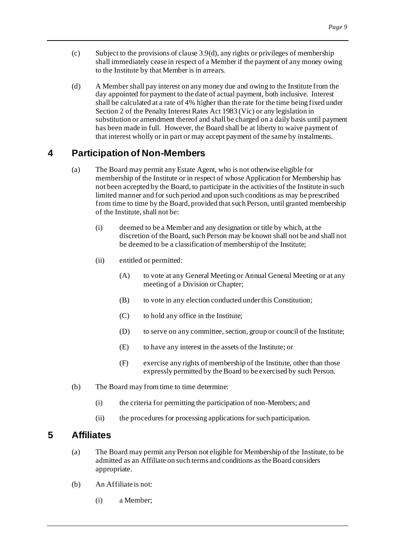- (c) Subject to the provisions of claus[e 3.9\(d\)](#page-12-3), any rights or privileges of membership shall immediately cease in respect of a Member if the payment of any money owing to the Institute by that Member is in arrears.
- <span id="page-12-3"></span>(d) A Member shall pay interest on any money due and owing to the Institute from the day appointed for payment to the date of actual payment, both inclusive. Interest shall be calculated at a rate of 4% higher than the rate for the time being fixed under Section 2 of the Penalty Interest Rates Act 1983 (Vic) or any legislation in substitution or amendment thereof and shall be charged on a daily basis until payment has been made in full. However, the Board shall be at liberty to waive payment of that interest wholly or in part or may accept payment of the same by instalments.

# <span id="page-12-0"></span>**4 Participation of Non-Members**

- <span id="page-12-5"></span>(a) The Board may permit any Estate Agent, who is not otherwise eligible for membership of the Institute or in respect of whose Application for Membership has not been accepted by the Board, to participate in the activities of the Institute in such limited manner and for such period and upon such conditions as may be prescribed from time to time by the Board, provided that such Person, until granted membership of the Institute, shall not be:
	- (i) deemed to be a Member and any designation or title by which, at the discretion of the Board, such Person may be known shall not be and shall not be deemed to be a classification of membership of the Institute;
	- (ii) entitled or permitted:
		- (A) to vote at any General Meeting or Annual General Meeting or at any meeting of a Division or Chapter;
		- (B) to vote in any election conducted under this Constitution;
		- (C) to hold any office in the Institute;
		- (D) to serve on any committee, section, group or council of the Institute;
		- (E) to have any interest in the assets of the Institute; or
		- (F) exercise any rights of membership of the Institute, other than those expressly permitted by the Board to be exercised by such Person.
- (b) The Board may from time to time determine:
	- (i) the criteria for permitting the participation of non-Members; and
	- (ii) the procedures for processing applications for such participation.

# <span id="page-12-2"></span><span id="page-12-1"></span>**5 Affiliates**

- (a) The Board may permit any Person not eligible for Membership of the Institute, to be admitted as an Affiliate on such terms and conditions as the Board considers appropriate.
- <span id="page-12-4"></span>(b) An Affiliate is not:
	- (i) a Member;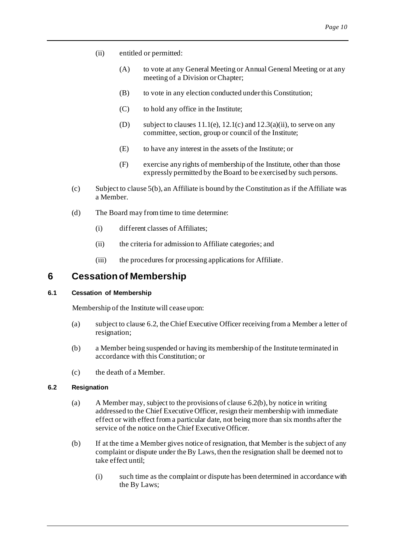- (ii) entitled or permitted:
	- (A) to vote at any General Meeting or Annual General Meeting or at any meeting of a Division or Chapter;
	- (B) to vote in any election conducted under this Constitution;
	- (C) to hold any office in the Institute;
	- (D) subject to clauses  $11.1(e)$ ,  $12.1(c)$  and  $12.3(a)(ii)$ , to serve on any committee, section, group or council of the Institute;
	- (E) to have any interest in the assets of the Institute; or
	- (F) exercise any rights of membership of the Institute, other than those expressly permitted by the Board to be exercised by such persons.
- (c) Subject to claus[e 5\(b\)](#page-12-4), an Affiliate is bound by the Constitution as if the Affiliate was a Member.
- (d) The Board may from time to time determine:
	- (i) different classes of Affiliates;
	- (ii) the criteria for admission to Affiliate categories; and
	- (iii) the procedures for processing applications for Affiliate.

# <span id="page-13-0"></span>**6 Cessationof Membership**

# <span id="page-13-5"></span><span id="page-13-1"></span>**6.1 Cessation of Membership**

Membership of the Institute will cease upon:

- (a) subject to claus[e 6.2](#page-13-3), the Chief Executive Officer receiving from a Member a letter of resignation;
- (b) a Member being suspended or having its membership of the Institute terminated in accordance with this Constitution; or
- (c) the death of a Member.

# <span id="page-13-3"></span><span id="page-13-2"></span>**6.2 Resignation**

- (a) A Member may, subject to the provisions of claus[e 6.2\(b\)](#page-13-4), by notice in writing addressed to the Chief Executive Officer, resign their membership with immediate effect or with effect from a particular date, not being more than six months after the service of the notice on the Chief Executive Officer.
- <span id="page-13-4"></span>(b) If at the time a Member gives notice of resignation, that Member is the subject of any complaint or dispute under the By Laws, then the resignation shall be deemed not to take effect until;
	- (i) such time as the complaint or dispute has been determined in accordance with the By Laws;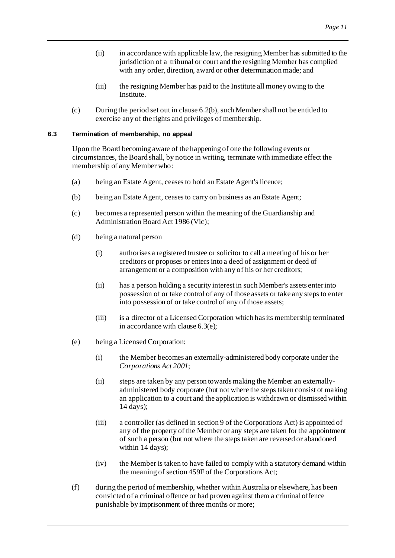- (ii) in accordance with applicable law, the resigning Member has submitted to the jurisdiction of a tribunal or court and the resigning Member has complied with any order, direction, award or other determination made; and
- (iii) the resigning Member has paid to the Institute all money owing to the Institute.
- (c) During the period set out in claus[e 6.2\(b\)](#page-13-4), such Member shall not be entitled to exercise any of the rights and privileges of membership.

#### <span id="page-14-2"></span><span id="page-14-0"></span>**6.3 Termination of membership, no appeal**

Upon the Board becoming aware of the happening of one the following events or circumstances, the Board shall, by notice in writing, terminate with immediate effect the membership of any Member who:

- (a) being an Estate Agent, ceases to hold an Estate Agent's licence;
- (b) being an Estate Agent, ceases to carry on business as an Estate Agent;
- (c) becomes a represented person within the meaning of the Guardianship and Administration Board Act 1986 (Vic);
- (d) being a natural person
	- (i) authorises a registered trustee or solicitor to call a meeting of his or her creditors or proposes or enters into a deed of assignment or deed of arrangement or a composition with any of his or her creditors;
	- (ii) has a person holding a security interest in such Member's assets enter into possession of or take control of any of those assets or take any steps to enter into possession of or take control of any of those assets;
	- (iii) is a director of a Licensed Corporation which has its membership terminated in accordance with claus[e 6.3\(e\)](#page-14-1);
- <span id="page-14-1"></span>(e) being a Licensed Corporation:
	- (i) the Member becomes an externally-administered body corporate under the *Corporations Act 2001*;
	- (ii) steps are taken by any person towards making the Member an externallyadministered body corporate (but not where the steps taken consist of making an application to a court and the application is withdrawn or dismissed within 14 days);
	- (iii) a controller (as defined in section 9 of the Corporations Act) is appointed of any of the property of the Member or any steps are taken for the appointment of such a person (but not where the steps taken are reversed or abandoned within 14 days);
	- (iv) the Member is taken to have failed to comply with a statutory demand within the meaning of section 459F of the Corporations Act;
- (f) during the period of membership, whether within Australia or elsewhere, has been convicted of a criminal offence or had proven against them a criminal offence punishable by imprisonment of three months or more;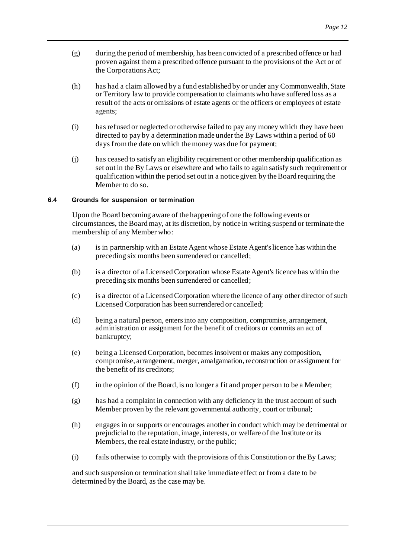- (g) during the period of membership, has been convicted of a prescribed offence or had proven against them a prescribed offence pursuant to the provisions of the Act or of the Corporations Act;
- (h) has had a claim allowed by a fund established by or under any Commonwealth, State or Territory law to provide compensation to claimants who have suffered loss as a result of the acts or omissions of estate agents or the officers or employees of estate agents;
- (i) has refused or neglected or otherwise failed to pay any money which they have been directed to pay by a determination made under the By Laws within a period of 60 days from the date on which the money was due for payment;
- (j) has ceased to satisfy an eligibility requirement or other membership qualification as set out in the By Laws or elsewhere and who fails to again satisfy such requirement or qualification within the period set out in a notice given by the Board requiring the Member to do so.

# <span id="page-15-1"></span><span id="page-15-0"></span>**6.4 Grounds for suspension or termination**

Upon the Board becoming aware of the happening of one the following events or circumstances, the Board may, at its discretion, by notice in writing suspend or terminate the membership of any Member who:

- (a) is in partnership with an Estate Agent whose Estate Agent's licence has within the preceding six months been surrendered or cancelled;
- (b) is a director of a Licensed Corporation whose Estate Agent's licence has within the preceding six months been surrendered or cancelled;
- (c) is a director of a Licensed Corporation where the licence of any other director of such Licensed Corporation has been surrendered or cancelled;
- (d) being a natural person, enters into any composition, compromise, arrangement, administration or assignment for the benefit of creditors or commits an act of bankruptcy;
- (e) being a Licensed Corporation, becomes insolvent or makes any composition, compromise, arrangement, merger, amalgamation, reconstruction or assignment for the benefit of its creditors;
- (f) in the opinion of the Board, is no longer a fit and proper person to be a Member;
- (g) has had a complaint in connection with any deficiency in the trust account of such Member proven by the relevant governmental authority, court or tribunal;
- (h) engages in or supports or encourages another in conduct which may be detrimental or prejudicial to the reputation, image, interests, or welfare of the Institute or its Members, the real estate industry, or the public;
- (i) fails otherwise to comply with the provisions of this Constitution or the By Laws;

and such suspension or termination shall take immediate effect or from a date to be determined by the Board, as the case may be.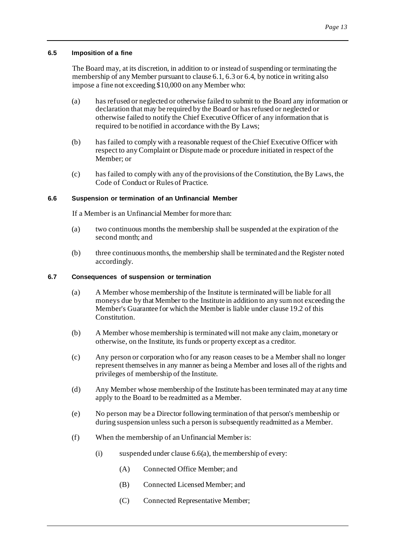#### <span id="page-16-0"></span>**6.5 Imposition of a fine**

The Board may, at its discretion, in addition to or instead of suspending or terminating the membership of any Member pursuant to claus[e 6.1](#page-13-5)[, 6.3](#page-14-2) o[r 6.4](#page-15-1), by notice in writing also impose a fine not exceeding \$10,000 on any Member who:

- (a) has refused or neglected or otherwise failed to submit to the Board any information or declaration that may be required by the Board or has refused or neglected or otherwise failed to notify the Chief Executive Officer of any information that is required to be notified in accordance with the By Laws;
- (b) has failed to comply with a reasonable request of the Chief Executive Officer with respect to any Complaint or Dispute made or procedure initiated in respect of the Member; or
- (c) has failed to comply with any of the provisions of the Constitution, the By Laws, the Code of Conduct or Rules of Practice.

# <span id="page-16-1"></span>**6.6 Suspension or termination of an Unfinancial Member**

If a Member is an Unfinancial Member for more than:

- <span id="page-16-3"></span>(a) two continuous months the membership shall be suspended at the expiration of the second month; and
- (b) three continuous months, the membership shall be terminated and the Register noted accordingly.

# <span id="page-16-4"></span><span id="page-16-2"></span>**6.7 Consequences of suspension or termination**

- (a) A Member whose membership of the Institute is terminated will be liable for all moneys due by that Member to the Institute in addition to any sum not exceeding the Member's Guarantee for which the Member is liable under claus[e 19.2](#page-47-5) of this Constitution.
- (b) A Member whose membership is terminated will not make any claim, monetary or otherwise, on the Institute, its funds or property except as a creditor.
- (c) Any person or corporation who for any reason ceases to be a Member shall no longer represent themselves in any manner as being a Member and loses all of the rights and privileges of membership of the Institute.
- (d) Any Member whose membership of the Institute has been terminated may at any time apply to the Board to be readmitted as a Member.
- (e) No person may be a Director following termination of that person's membership or during suspension unless such a person is subsequently readmitted as a Member.
- <span id="page-16-5"></span>(f) When the membership of an Unfinancial Member is:
	- (i) suspended under clause  $6.6(a)$ , the membership of every:
		- (A) Connected Office Member; and
		- (B) Connected Licensed Member; and
		- (C) Connected Representative Member;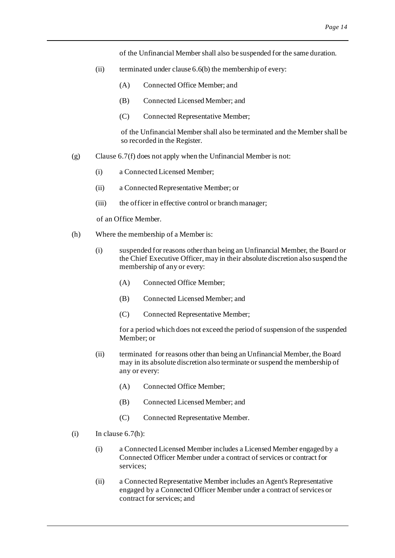of the Unfinancial Member shall also be suspended for the same duration.

- (ii) terminated under claus[e 6.6\(b\)](#page-16-4) the membership of every:
	- (A) Connected Office Member; and
	- (B) Connected Licensed Member; and
	- (C) Connected Representative Member;

of the Unfinancial Member shall also be terminated and the Member shall be so recorded in the Register.

- (g) Claus[e 6.7\(f\)](#page-16-5) does not apply when the Unfinancial Member is not:
	- (i) a Connected Licensed Member;
	- (ii) a Connected Representative Member; or
	- (iii) the officer in effective control or branch manager;

of an Office Member.

- <span id="page-17-0"></span>(h) Where the membership of a Member is:
	- (i) suspended for reasons other than being an Unfinancial Member, the Board or the Chief Executive Officer, may in their absolute discretion also suspend the membership of any or every:
		- (A) Connected Office Member;
		- (B) Connected Licensed Member; and
		- (C) Connected Representative Member;

for a period which does not exceed the period of suspension of the suspended Member; or

- (ii) terminated for reasons other than being an Unfinancial Member, the Board may in its absolute discretion also terminate or suspend the membership of any or every:
	- (A) Connected Office Member;
	- (B) Connected Licensed Member; and
	- (C) Connected Representative Member.
- (i) In clause  $6.7(h)$ :
	- (i) a Connected Licensed Member includes a Licensed Member engaged by a Connected Officer Member under a contract of services or contract for services;
	- (ii) a Connected Representative Member includes an Agent's Representative engaged by a Connected Officer Member under a contract of services or contract for services; and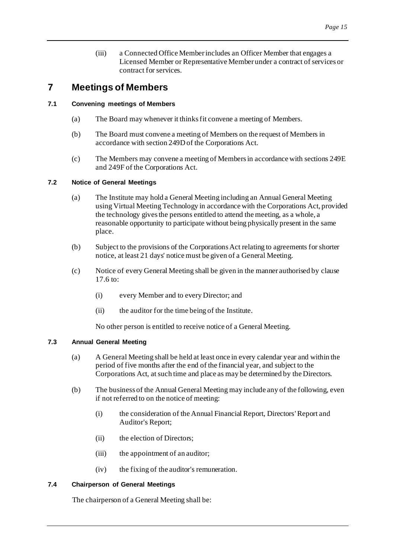(iii) a Connected Office Member includes an Officer Member that engages a Licensed Member or Representative Member under a contract of services or contract for services.

# <span id="page-18-6"></span><span id="page-18-0"></span>**7 Meetings of Members**

# <span id="page-18-1"></span>**7.1 Convening meetings of Members**

- (a) The Board may whenever it thinks fit convene a meeting of Members.
- (b) The Board must convene a meeting of Members on the request of Members in accordance with section 249D of the Corporations Act.
- (c) The Members may convene a meeting of Members in accordance with sections 249E and 249F of the Corporations Act.

# <span id="page-18-2"></span>**7.2 Notice of General Meetings**

- (a) The Institute may hold a General Meeting including an Annual General Meeting using Virtual Meeting Technology in accordance with the Corporations Act, provided the technology gives the persons entitled to attend the meeting, as a whole, a reasonable opportunity to participate without being physically present in the same place.
- (b) Subject to the provisions of the Corporations Act relating to agreements for shorter notice, at least 21 days' notice must be given of a General Meeting.
- (c) Notice of every General Meeting shall be given in the manner authorised by clause [17.6](#page-45-3) to:
	- (i) every Member and to every Director; and
	- (ii) the auditor for the time being of the Institute.

No other person is entitled to receive notice of a General Meeting.

# <span id="page-18-5"></span><span id="page-18-3"></span>**7.3 Annual General Meeting**

- (a) A General Meeting shall be held at least once in every calendar year and within the period of five months after the end of the financial year, and subject to the Corporations Act, at such time and place as may be determined by the Directors.
- (b) The business of the Annual General Meeting may include any of the following, even if not referred to on the notice of meeting:
	- (i) the consideration of the Annual Financial Report, Directors'Report and Auditor's Report;
	- (ii) the election of Directors;
	- (iii) the appointment of an auditor;
	- (iv) the fixing of the auditor's remuneration.

# <span id="page-18-4"></span>**7.4 Chairperson of General Meetings**

The chairperson of a General Meeting shall be: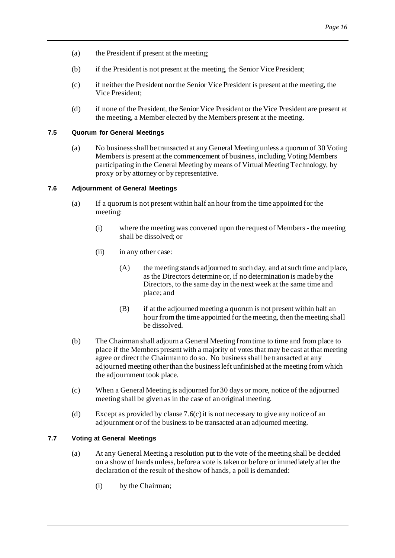- (a) the President if present at the meeting;
- (b) if the President is not present at the meeting, the Senior Vice President;
- (c) if neither the President nor the Senior Vice President is present at the meeting, the Vice President;
- (d) if none of the President, the Senior Vice President or the Vice President are present at the meeting, a Member elected by the Members present at the meeting.

# <span id="page-19-0"></span>**7.5 Quorum for General Meetings**

(a) No business shall be transacted at any General Meeting unless a quorum of 30 Voting Members is present at the commencement of business, including Voting Members participating in the General Meeting by means of Virtual Meeting Technology, by proxy or by attorney or by representative.

# <span id="page-19-1"></span>**7.6 Adjournment of General Meetings**

- (a) If a quorum is not present within half an hour from the time appointed for the meeting:
	- (i) where the meeting was convened upon the request of Members the meeting shall be dissolved; or
	- (ii) in any other case:
		- (A) the meeting stands adjourned to such day, and at such time and place, as the Directors determine or, if no determination is made by the Directors, to the same day in the next week at the same time and place; and
		- (B) if at the adjourned meeting a quorum is not present within half an hour from the time appointed for the meeting, then the meeting shall be dissolved.
- (b) The Chairman shall adjourn a General Meeting from time to time and from place to place if the Members present with a majority of votes that may be cast at that meeting agree or direct the Chairman to do so. No business shall be transacted at any adjourned meeting other than the business left unfinished at the meeting from which the adjournment took place.
- <span id="page-19-3"></span>(c) When a General Meeting is adjourned for 30 days or more, notice of the adjourned meeting shall be given as in the case of an original meeting.
- (d) Except as provided by clause  $7.6(c)$  it is not necessary to give any notice of an adjournment or of the business to be transacted at an adjourned meeting.

# <span id="page-19-2"></span>**7.7 Voting at General Meetings**

- (a) At any General Meeting a resolution put to the vote of the meeting shall be decided on a show of hands unless, before a vote is taken or before or immediately after the declaration of the result of the show of hands, a poll is demanded:
	- (i) by the Chairman;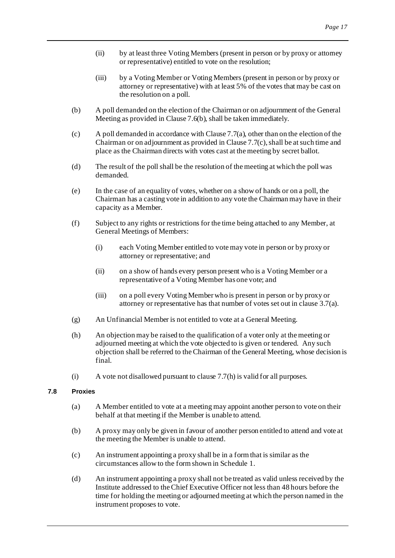- (ii) by at least three Voting Members (present in person or by proxy or attorney or representative) entitled to vote on the resolution;
- (iii) by a Voting Member or Voting Members (present in person or by proxy or attorney or representative) with at least 5% of the votes that may be cast on the resolution on a poll.
- (b) A poll demanded on the election of the Chairman or on adjournment of the General Meeting as provided in Clause 7.6(b), shall be taken immediately.
- (c) A poll demanded in accordance with Clause 7.7(a), other than on the election of the Chairman or on adjournment as provided in Clause 7.7(c), shall be at such time and place as the Chairman directs with votes cast at the meeting by secret ballot.
- (d) The result of the poll shall be the resolution of the meeting at which the poll was demanded.
- (e) In the case of an equality of votes, whether on a show of hands or on a poll, the Chairman has a casting vote in addition to any vote the Chairman may have in their capacity as a Member.
- (f) Subject to any rights or restrictions for the time being attached to any Member, at General Meetings of Members:
	- (i) each Voting Member entitled to vote may vote in person or by proxy or attorney or representative; and
	- (ii) on a show of hands every person present who is a Voting Member or a representative of a Voting Member has one vote; and
	- (iii) on a poll every Voting Member who is present in person or by proxy or attorney or representative has that number of votes set out in claus[e 3.7\(a\)](#page-11-3).
- (g) An Unfinancial Member is not entitled to vote at a General Meeting.
- <span id="page-20-1"></span>(h) An objection may be raised to the qualification of a voter only at the meeting or adjourned meeting at which the vote objected to is given or tendered. Any such objection shall be referred to the Chairman of the General Meeting, whose decision is final.
- (i) A vote not disallowed pursuant to claus[e 7.7\(h\)](#page-20-1) is valid for all purposes.

# <span id="page-20-0"></span>**7.8 Proxies**

- (a) A Member entitled to vote at a meeting may appoint another person to vote on their behalf at that meeting if the Member is unable to attend.
- (b) A proxy may only be given in favour of another person entitled to attend and vote at the meeting the Member is unable to attend.
- (c) An instrument appointing a proxy shall be in a form that is similar as the circumstances allow to the form shown in Schedule 1.
- (d) An instrument appointing a proxy shall not be treated as valid unless received by the Institute addressed to the Chief Executive Officer not less than 48 hours before the time for holding the meeting or adjourned meeting at which the person named in the instrument proposes to vote.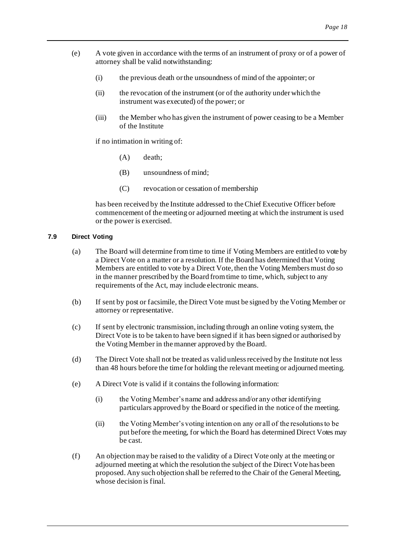- (e) A vote given in accordance with the terms of an instrument of proxy or of a power of attorney shall be valid notwithstanding:
	- (i) the previous death or the unsoundness of mind of the appointer; or
	- (ii) the revocation of the instrument (or of the authority under which the instrument was executed) of the power; or
	- (iii) the Member who has given the instrument of power ceasing to be a Member of the Institute

if no intimation in writing of:

- (A) death;
- (B) unsoundness of mind;
- (C) revocation or cessation of membership

has been received by the Institute addressed to the Chief Executive Officer before commencement of the meeting or adjourned meeting at which the instrument is used or the power is exercised.

#### <span id="page-21-0"></span>**7.9 Direct Voting**

- (a) The Board will determine from time to time if Voting Members are entitled to vote by a Direct Vote on a matter or a resolution. If the Board has determined that Voting Members are entitled to vote by a Direct Vote, then the Voting Members must do so in the manner prescribed by the Board from time to time, which, subject to any requirements of the Act, may include electronic means.
- (b) If sent by post or facsimile, the Direct Vote must be signed by the Voting Member or attorney or representative.
- (c) If sent by electronic transmission, including through an online voting system, the Direct Vote is to be taken to have been signed if it has been signed or authorised by the Voting Member in the manner approved by the Board.
- (d) The Direct Vote shall not be treated as valid unless received by the Institute not less than 48 hours before the time for holding the relevant meeting or adjourned meeting.
- (e) A Direct Vote is valid if it contains the following information:
	- (i) the Voting Member's name and address and/or any other identifying particulars approved by the Board or specified in the notice of the meeting.
	- (ii) the Voting Member's voting intention on any or all of the resolutions to be put before the meeting, for which the Board has determined Direct Votes may be cast.
- (f) An objection may be raised to the validity of a Direct Vote only at the meeting or adjourned meeting at which the resolution the subject of the Direct Vote has been proposed. Any such objection shall be referred to the Chair of the General Meeting, whose decision is final.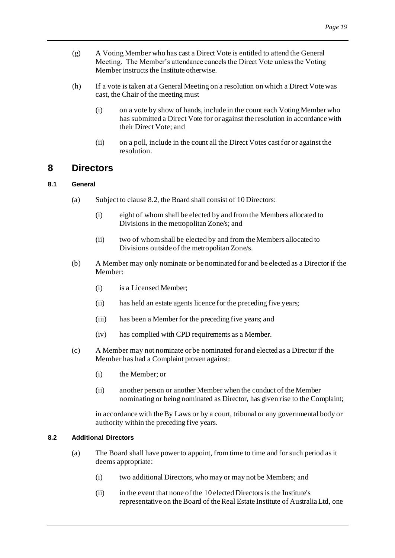- (g) A Voting Member who has cast a Direct Vote is entitled to attend the General Meeting. The Member's attendance cancels the Direct Vote unless the Voting Member instructs the Institute otherwise.
- (h) If a vote is taken at a General Meeting on a resolution on which a Direct Vote was cast, the Chair of the meeting must
	- (i) on a vote by show of hands, include in the count each Voting Member who has submitted a Direct Vote for or against the resolution in accordance with their Direct Vote; and
	- (ii) on a poll, include in the count all the Direct Votes cast for or against the resolution.

# <span id="page-22-0"></span>**8 Directors**

# <span id="page-22-1"></span>**8.1 General**

- (a) Subject to claus[e 8.2](#page-22-3), the Board shall consist of 10 Directors:
	- (i) eight of whom shall be elected by and from the Members allocated to Divisions in the metropolitan Zone/s; and
	- (ii) two of whom shall be elected by and from the Members allocated to Divisions outside of the metropolitan Zone/s.
- <span id="page-22-4"></span>(b) A Member may only nominate or be nominated for and be elected as a Director if the Member:
	- (i) is a Licensed Member;
	- (ii) has held an estate agents licence for the preceding five years;
	- (iii) has been a Member for the preceding five years; and
	- (iv) has complied with CPD requirements as a Member.
- (c) A Member may not nominate or be nominated for and elected as a Director if the Member has had a Complaint proven against:
	- (i) the Member; or
	- (ii) another person or another Member when the conduct of the Member nominating or being nominated as Director, has given rise to the Complaint;

in accordance with the By Laws or by a court, tribunal or any governmental body or authority within the preceding five years.

# <span id="page-22-3"></span><span id="page-22-2"></span>**8.2 Additional Directors**

- (a) The Board shall have power to appoint, from time to time and for such period as it deems appropriate:
	- (i) two additional Directors, who may or may not be Members; and
	- (ii) in the event that none of the 10 elected Directors is the Institute's representative on the Board of the Real Estate Institute of Australia Ltd, one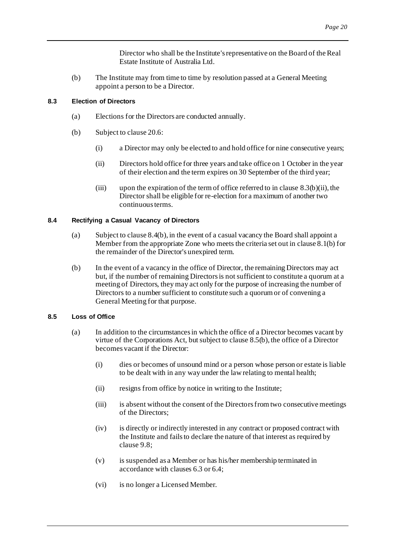Director who shall be the Institute's representative on the Board of the Real Estate Institute of Australia Ltd.

(b) The Institute may from time to time by resolution passed at a General Meeting appoint a person to be a Director.

# <span id="page-23-7"></span><span id="page-23-0"></span>**8.3 Election of Directors**

- (a) Elections for the Directors are conducted annually.
- <span id="page-23-8"></span><span id="page-23-3"></span>(b) Subject to claus[e 20.6](#page-49-5):
	- (i) a Director may only be elected to and hold office for nine consecutive years;
	- (ii) Directors hold office for three years and take office on 1 October in the year of their election and the term expires on 30 September of the third year;
	- (iii) upon the expiration of the term of office referred to in claus[e 8.3\(b\)\(ii\)](#page-23-3), the Director shall be eligible for re-election for a maximum of another two continuous terms.

# <span id="page-23-1"></span>**8.4 Rectifying a Casual Vacancy of Directors**

- (a) Subject to claus[e 8.4\(b\)](#page-23-4), in the event of a casual vacancy the Board shall appoint a Member from the appropriate Zone who meets the criteria set out in claus[e 8.1\(b\)](#page-22-4) for the remainder of the Director's unexpired term.
- <span id="page-23-4"></span>(b) In the event of a vacancy in the office of Director, the remaining Directors may act but, if the number of remaining Directors is not sufficient to constitute a quorum at a meeting of Directors, they may act only for the purpose of increasing the number of Directors to a number sufficient to constitute such a quorum or of convening a General Meeting for that purpose.

#### <span id="page-23-2"></span>**8.5 Loss of Office**

- <span id="page-23-6"></span><span id="page-23-5"></span>(a) In addition to the circumstances in which the office of a Director becomes vacant by virtue of the Corporations Act, but subject to claus[e 8.5\(b\)](#page-24-3), the office of a Director becomes vacant if the Director:
	- (i) dies or becomes of unsound mind or a person whose person or estate is liable to be dealt with in any way under the law relating to mental health;
	- (ii) resigns from office by notice in writing to the Institute;
	- (iii) is absent without the consent of the Directors from two consecutive meetings of the Directors;
	- (iv) is directly or indirectly interested in any contract or proposed contract with the Institute and fails to declare the nature of that interest as required by claus[e 9.8](#page-28-5);
	- (v) is suspended as a Member or has his/her membership terminated in accordance with clause[s 6.3](#page-14-2) o[r 6.4](#page-15-1);
	- (vi) is no longer a Licensed Member.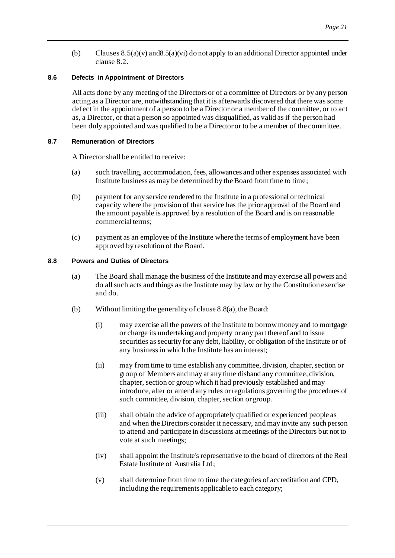(b) Clause[s 8.5\(a\)\(v\)](#page-23-5) an[d8.5\(a\)\(vi\)](#page-23-6) do not apply to an additional Director appointed under claus[e 8.2](#page-22-3).

# <span id="page-24-3"></span><span id="page-24-0"></span>**8.6 Defects in Appointment of Directors**

All acts done by any meeting of the Directors or of a committee of Directors or by any person acting as a Director are, notwithstanding that it is afterwards discovered that there was some defect in the appointment of a person to be a Director or a member of the committee, or to act as, a Director, or that a person so appointed was disqualified, as valid as if the person had been duly appointed and was qualified to be a Director or to be a member of the committee.

# <span id="page-24-5"></span><span id="page-24-1"></span>**8.7 Remuneration of Directors**

A Director shall be entitled to receive:

- (a) such travelling, accommodation, fees, allowances and other expenses associated with Institute business as may be determined by the Board from time to time;
- (b) payment for any service rendered to the Institute in a professional or technical capacity where the provision of that service has the prior approval of the Board and the amount payable is approved by a resolution of the Board and is on reasonable commercial terms;
- (c) payment as an employee of the Institute where the terms of employment have been approved by resolution of the Board.

# <span id="page-24-4"></span><span id="page-24-2"></span>**8.8 Powers and Duties of Directors**

- (a) The Board shall manage the business of the Institute and may exercise all powers and do all such acts and things as the Institute may by law or by the Constitution exercise and do.
- (b) Without limiting the generality of claus[e 8.8\(a\)](#page-24-4), the Board:
	- (i) may exercise all the powers of the Institute to borrow money and to mortgage or charge its undertaking and property or any part thereof and to issue securities as security for any debt, liability, or obligation of the Institute or of any business in which the Institute has an interest;
	- (ii) may from time to time establish any committee, division, chapter, section or group of Members and may at any time disband any committee, division, chapter, section or group which it had previously established and may introduce, alter or amend any rules or regulations governing the procedures of such committee, division, chapter, section or group.
	- (iii) shall obtain the advice of appropriately qualified or experienced people as and when the Directors consider it necessary, and may invite any such person to attend and participate in discussions at meetings of the Directors but not to vote at such meetings;
	- (iv) shall appoint the Institute's representative to the board of directors of the Real Estate Institute of Australia Ltd;
	- (v) shall determine from time to time the categories of accreditation and CPD, including the requirements applicable to each category;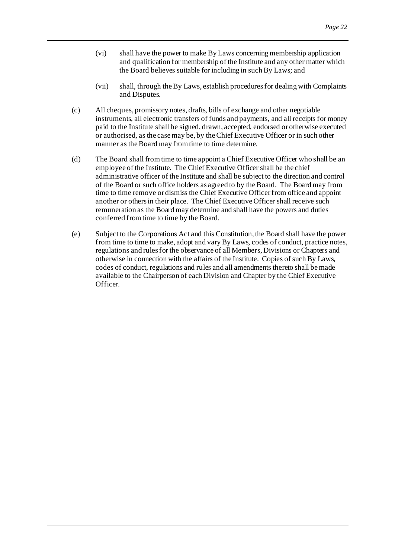- (vi) shall have the power to make By Laws concerning membership application and qualification for membership of the Institute and any other matter which the Board believes suitable for including in such By Laws; and
- (vii) shall, through the By Laws, establish procedures for dealing with Complaints and Disputes.
- (c) All cheques, promissory notes, drafts, bills of exchange and other negotiable instruments, all electronic transfers of funds and payments, and all receipts for money paid to the Institute shall be signed, drawn, accepted, endorsed or otherwise executed or authorised, as the case may be, by the Chief Executive Officer or in such other manner as the Board may from time to time determine.
- (d) The Board shall from time to time appoint a Chief Executive Officer who shall be an employee of the Institute. The Chief Executive Officer shall be the chief administrative officer of the Institute and shall be subject to the direction and control of the Board or such office holders as agreed to by the Board. The Board may from time to time remove or dismiss the Chief Executive Officer from office and appoint another or others in their place. The Chief Executive Officer shall receive such remuneration as the Board may determine and shall have the powers and duties conferred from time to time by the Board.
- <span id="page-25-0"></span>(e) Subject to the Corporations Act and this Constitution, the Board shall have the power from time to time to make, adopt and vary By Laws, codes of conduct, practice notes, regulations and rules for the observance of all Members, Divisions or Chapters and otherwise in connection with the affairs of the Institute. Copies of such By Laws, codes of conduct, regulations and rules and all amendments thereto shall be made available to the Chairperson of each Division and Chapter by the Chief Executive Officer.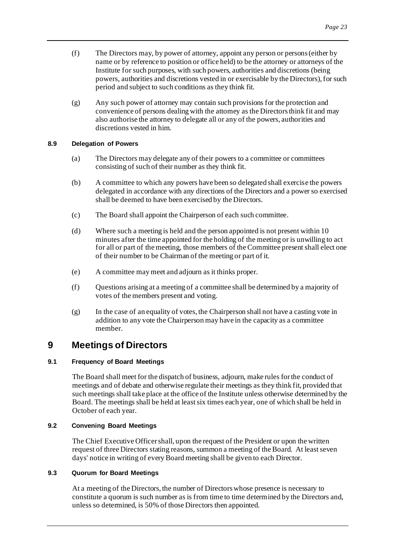- (f) The Directors may, by power of attorney, appoint any person or persons (either by name or by reference to position or office held) to be the attorney or attorneys of the Institute for such purposes, with such powers, authorities and discretions (being powers, authorities and discretions vested in or exercisable by the Directors), for such period and subject to such conditions as they think fit.
- (g) Any such power of attorney may contain such provisions for the protection and convenience of persons dealing with the attorney as the Directors think fit and may also authorise the attorney to delegate all or any of the powers, authorities and discretions vested in him.

# <span id="page-26-0"></span>**8.9 Delegation of Powers**

- (a) The Directors may delegate any of their powers to a committee or committees consisting of such of their number as they think fit.
- (b) A committee to which any powers have been so delegated shall exercise the powers delegated in accordance with any directions of the Directors and a power so exercised shall be deemed to have been exercised by the Directors.
- (c) The Board shall appoint the Chairperson of each such committee.
- (d) Where such a meeting is held and the person appointed is not present within 10 minutes after the time appointed for the holding of the meeting or is unwilling to act for all or part of the meeting, those members of the Committee present shall elect one of their number to be Chairman of the meeting or part of it.
- (e) A committee may meet and adjourn as it thinks proper.
- (f) Questions arising at a meeting of a committee shall be determined by a majority of votes of the members present and voting.
- (g) In the case of an equality of votes, the Chairperson shall not have a casting vote in addition to any vote the Chairperson may have in the capacity as a committee member.

# <span id="page-26-1"></span>**9 Meetings of Directors**

# <span id="page-26-5"></span><span id="page-26-2"></span>**9.1 Frequency of Board Meetings**

The Board shall meet for the dispatch of business, adjourn, make rules for the conduct of meetings and of debate and otherwise regulate their meetings as they think fit, provided that such meetings shall take place at the office of the Institute unless otherwise determined by the Board. The meetings shall be held at least six times each year, one of which shall be held in October of each year.

# <span id="page-26-3"></span>**9.2 Convening Board Meetings**

The Chief Executive Officer shall, upon the request of the President or upon the written request of three Directors stating reasons, summon a meeting of the Board. At least seven days' notice in writing of every Board meeting shall be given to each Director.

# <span id="page-26-4"></span>**9.3 Quorum for Board Meetings**

At a meeting of the Directors, the number of Directors whose presence is necessary to constitute a quorum is such number as is from time to time determined by the Directors and, unless so determined, is 50% of those Directors then appointed.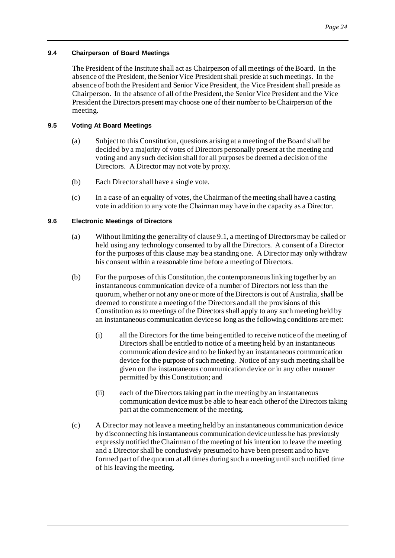# <span id="page-27-0"></span>**9.4 Chairperson of Board Meetings**

The President of the Institute shall act as Chairperson of all meetings of the Board. In the absence of the President, the Senior Vice President shall preside at such meetings. In the absence of both the President and Senior Vice President, the Vice President shall preside as Chairperson. In the absence of all of the President, the Senior Vice President and the Vice President the Directors present may choose one of their number to be Chairperson of the meeting.

# <span id="page-27-1"></span>**9.5 Voting At Board Meetings**

- (a) Subject to this Constitution, questions arising at a meeting of the Board shall be decided by a majority of votes of Directors personally present at the meeting and voting and any such decision shall for all purposes be deemed a decision of the Directors. A Director may not vote by proxy.
- (b) Each Director shall have a single vote.
- (c) In a case of an equality of votes, the Chairman of the meeting shall have a casting vote in addition to any vote the Chairman may have in the capacity as a Director.

# <span id="page-27-2"></span>**9.6 Electronic Meetings of Directors**

- (a) Without limiting the generality of claus[e 9.1](#page-26-5), a meeting of Directors may be called or held using any technology consented to by all the Directors. A consent of a Director for the purposes of this clause may be a standing one. A Director may only withdraw his consent within a reasonable time before a meeting of Directors.
- (b) For the purposes of this Constitution, the contemporaneous linking together by an instantaneous communication device of a number of Directors not less than the quorum, whether or not any one or more of the Directors is out of Australia, shall be deemed to constitute a meeting of the Directors and all the provisions of this Constitution as to meetings of the Directors shall apply to any such meeting held by an instantaneous communication device so long as the following conditions are met:
	- (i) all the Directors for the time being entitled to receive notice of the meeting of Directors shall be entitled to notice of a meeting held by an instantaneous communication device and to be linked by an instantaneous communication device for the purpose of such meeting. Notice of any such meeting shall be given on the instantaneous communication device or in any other manner permitted by this Constitution; and
	- (ii) each of the Directors taking part in the meeting by an instantaneous communication device must be able to hear each other of the Directors taking part at the commencement of the meeting.
- (c) A Director may not leave a meeting held by an instantaneous communication device by disconnecting his instantaneous communication device unless he has previously expressly notified the Chairman of the meeting of his intention to leave the meeting and a Director shall be conclusively presumed to have been present and to have formed part of the quorum at all times during such a meeting until such notified time of his leaving the meeting.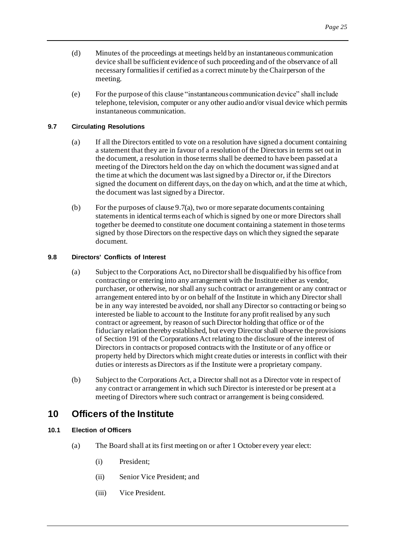- (d) Minutes of the proceedings at meetings held by an instantaneous communication device shall be sufficient evidence of such proceeding and of the observance of all necessary formalities if certified as a correct minute by the Chairperson of the meeting.
- (e) For the purpose of this clause "instantaneous communication device" shall include telephone, television, computer or any other audio and/or visual device which permits instantaneous communication.

# <span id="page-28-6"></span><span id="page-28-0"></span>**9.7 Circulating Resolutions**

- (a) If all the Directors entitled to vote on a resolution have signed a document containing a statement that they are in favour of a resolution of the Directors in terms set out in the document, a resolution in those terms shall be deemed to have been passed at a meeting of the Directors held on the day on which the document was signed and at the time at which the document was last signed by a Director or, if the Directors signed the document on different days, on the day on which, and at the time at which, the document was last signed by a Director.
- (b) For the purposes of claus[e 9.7\(a\)](#page-28-6), two or more separate documents containing statements in identical terms each of which is signed by one or more Directors shall together be deemed to constitute one document containing a statement in those terms signed by those Directors on the respective days on which they signed the separate document.

# <span id="page-28-5"></span><span id="page-28-1"></span>**9.8 Directors' Conflicts of Interest**

- (a) Subject to the Corporations Act, no Director shall be disqualified by his office from contracting or entering into any arrangement with the Institute either as vendor, purchaser, or otherwise, nor shall any such contract or arrangement or any contract or arrangement entered into by or on behalf of the Institute in which any Director shall be in any way interested be avoided, nor shall any Director so contracting or being so interested be liable to account to the Institute for any profit realised by any such contract or agreement, by reason of such Director holding that office or of the fiduciary relation thereby established, but every Director shall observe the provisions of Section 191 of the Corporations Act relating to the disclosure of the interest of Directors in contracts or proposed contracts with the Institute or of any office or property held by Directors which might create duties or interests in conflict with their duties or interests as Directors as if the Institute were a proprietary company.
- (b) Subject to the Corporations Act, a Director shall not as a Director vote in respect of any contract or arrangement in which such Director is interested or be present at a meeting of Directors where such contract or arrangement is being considered.

# <span id="page-28-2"></span>**10 Officers of the Institute**

# <span id="page-28-4"></span><span id="page-28-3"></span>**10.1 Election of Officers**

- (a) The Board shall at its first meeting on or after 1 October every year elect:
	- (i) President;
	- (ii) Senior Vice President; and
	- (iii) Vice President.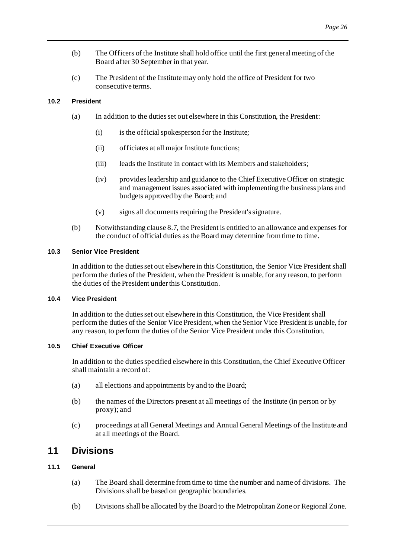- (b) The Officers of the Institute shall hold office until the first general meeting of the Board after 30 September in that year.
- (c) The President of the Institute may only hold the office of President for two consecutive terms.

### <span id="page-29-0"></span>**10.2 President**

- (a) In addition to the duties set out elsewhere in this Constitution, the President:
	- (i) is the official spokesperson for the Institute;
	- (ii) officiates at all major Institute functions;
	- (iii) leads the Institute in contact with its Members and stakeholders;
	- (iv) provides leadership and guidance to the Chief Executive Officer on strategic and management issues associated with implementing the business plans and budgets approved by the Board; and
	- (v) signs all documents requiring the President's signature.
- (b) Notwithstanding claus[e 8.7](#page-24-5), the President is entitled to an allowance and expenses for the conduct of official duties as the Board may determine from time to time.

#### <span id="page-29-7"></span><span id="page-29-1"></span>**10.3 Senior Vice President**

In addition to the duties set out elsewhere in this Constitution, the Senior Vice President shall perform the duties of the President, when the President is unable, for any reason, to perform the duties of the President under this Constitution.

### <span id="page-29-2"></span>**10.4 Vice President**

In addition to the duties set out elsewhere in this Constitution, the Vice President shall perform the duties of the Senior Vice President, when the Senior Vice President is unable, for any reason, to perform the duties of the Senior Vice President under this Constitution.

#### <span id="page-29-3"></span>**10.5 Chief Executive Officer**

In addition to the duties specified elsewhere in this Constitution, the Chief Executive Officer shall maintain a record of:

- (a) all elections and appointments by and to the Board;
- (b) the names of the Directors present at all meetings of the Institute (in person or by proxy); and
- (c) proceedings at all General Meetings and Annual General Meetings of the Institute and at all meetings of the Board.

# <span id="page-29-6"></span><span id="page-29-4"></span>**11 Divisions**

# <span id="page-29-5"></span>**11.1 General**

- (a) The Board shall determine from time to time the number and name of divisions. The Divisions shall be based on geographic boundaries.
- (b) Divisions shall be allocated by the Board to the Metropolitan Zone or Regional Zone.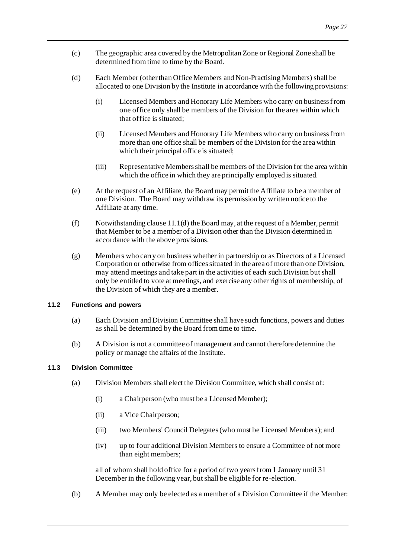- (c) The geographic area covered by the Metropolitan Zone or Regional Zone shall be determined from time to time by the Board.
- <span id="page-30-4"></span>(d) Each Member (other than Office Members and Non-Practising Members) shall be allocated to one Division by the Institute in accordance with the following provisions:
	- (i) Licensed Members and Honorary Life Members who carry on business from one office only shall be members of the Division for the area within which that office is situated;
	- (ii) Licensed Members and Honorary Life Members who carry on business from more than one office shall be members of the Division for the area within which their principal office is situated;
	- (iii) Representative Members shall be members of the Division for the area within which the office in which they are principally employed is situated.
- <span id="page-30-3"></span>(e) At the request of an Affiliate, the Board may permit the Affiliate to be a member of one Division. The Board may withdraw its permission by written notice to the Affiliate at any time.
- $(f)$  Notwithstanding claus[e 11.1\(d\)](#page-30-4) the Board may, at the request of a Member, permit that Member to be a member of a Division other than the Division determined in accordance with the above provisions.
- (g) Members who carry on business whether in partnership or as Directors of a Licensed Corporation or otherwise from offices situated in the area of more than one Division, may attend meetings and take part in the activities of each such Division but shall only be entitled to vote at meetings, and exercise any other rights of membership, of the Division of which they are a member.

# <span id="page-30-0"></span>**11.2 Functions and powers**

- (a) Each Division and Division Committee shall have such functions, powers and duties as shall be determined by the Board from time to time.
- (b) A Division is not a committee of management and cannot therefore determine the policy or manage the affairs of the Institute.

### <span id="page-30-5"></span><span id="page-30-2"></span><span id="page-30-1"></span>**11.3 Division Committee**

- (a) Division Members shall elect the Division Committee, which shall consist of:
	- (i) a Chairperson (who must be a Licensed Member);
	- (ii) a Vice Chairperson;
	- (iii) two Members' Council Delegates (who must be Licensed Members); and
	- (iv) up to four additional Division Members to ensure a Committee of not more than eight members;

all of whom shall hold office for a period of two years from 1 January until 31 December in the following year, but shall be eligible for re-election.

(b) A Member may only be elected as a member of a Division Committee if the Member: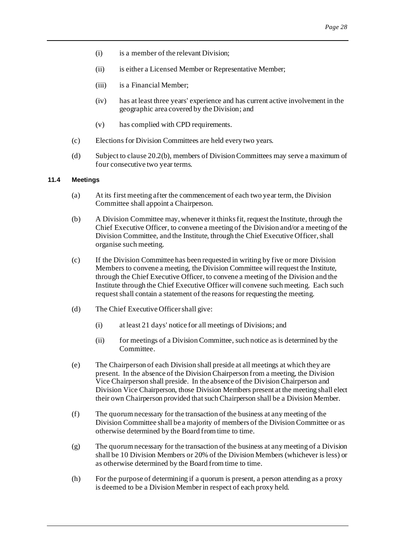- (i) is a member of the relevant Division;
- (ii) is either a Licensed Member or Representative Member;
- (iii) is a Financial Member;
- (iv) has at least three years' experience and has current active involvement in the geographic area covered by the Division; and
- (v) has complied with CPD requirements.
- (c) Elections for Division Committees are held every two years.
- (d) Subject to claus[e 20.2\(b\)](#page-49-6), members of Division Committees may serve a maximum of four consecutive two year terms.

#### <span id="page-31-0"></span>**11.4 Meetings**

- (a) At its first meeting after the commencement of each two year term, the Division Committee shall appoint a Chairperson.
- (b) A Division Committee may, whenever it thinks fit, request the Institute, through the Chief Executive Officer, to convene a meeting of the Division and/or a meeting of the Division Committee, and the Institute, through the Chief Executive Officer, shall organise such meeting.
- (c) If the Division Committee has been requested in writing by five or more Division Members to convene a meeting, the Division Committee will request the Institute, through the Chief Executive Officer, to convene a meeting of the Division and the Institute through the Chief Executive Officer will convene such meeting. Each such request shall contain a statement of the reasons for requesting the meeting.
- (d) The Chief Executive Officer shall give:
	- (i) at least 21 days' notice for all meetings of Divisions; and
	- (ii) for meetings of a Division Committee, such notice as is determined by the Committee.
- (e) The Chairperson of each Division shall preside at all meetings at which they are present. In the absence of the Division Chairperson from a meeting, the Division Vice Chairperson shall preside. In the absence of the Division Chairperson and Division Vice Chairperson, those Division Members present at the meeting shall elect their own Chairperson provided that such Chairperson shall be a Division Member.
- (f) The quorum necessary for the transaction of the business at any meeting of the Division Committee shall be a majority of members of the Division Committee or as otherwise determined by the Board from time to time.
- (g) The quorum necessary for the transaction of the business at any meeting of a Division shall be 10 Division Members or 20% of the Division Members (whichever is less) or as otherwise determined by the Board from time to time.
- (h) For the purpose of determining if a quorum is present, a person attending as a proxy is deemed to be a Division Member in respect of each proxy held.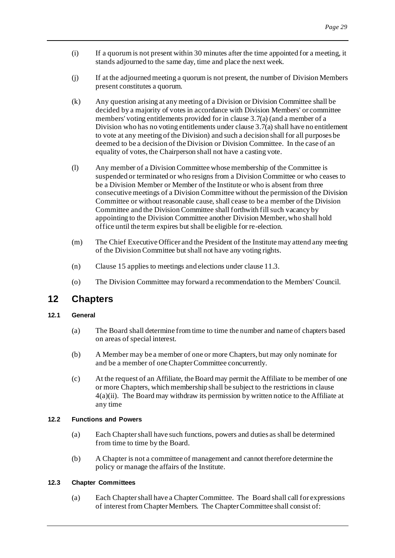- (i) If a quorum is not present within 30 minutes after the time appointed for a meeting, it stands adjourned to the same day, time and place the next week.
- (j) If at the adjourned meeting a quorum is not present, the number of Division Members present constitutes a quorum.
- (k) Any question arising at any meeting of a Division or Division Committee shall be decided by a majority of votes in accordance with Division Members' or committee members' voting entitlements provided for in claus[e 3.7\(a\)](#page-11-3) (and a member of a Division who has no voting entitlements under claus[e 3.7\(a\)](#page-11-3) shall have no entitlement to vote at any meeting of the Division) and such a decision shall for all purposes be deemed to be a decision of the Division or Division Committee. In the case of an equality of votes, the Chairperson shall not have a casting vote.
- (l) Any member of a Division Committee whose membership of the Committee is suspended or terminated or who resigns from a Division Committee or who ceases to be a Division Member or Member of the Institute or who is absent from three consecutive meetings of a Division Committee without the permission of the Division Committee or without reasonable cause, shall cease to be a member of the Division Committee and the Division Committee shall forthwith fill such vacancy by appointing to the Division Committee another Division Member, who shall hold office until the term expires but shall be eligible for re-election.
- (m) The Chief Executive Officer and the President of the Institute may attend any meeting of the Division Committee but shall not have any voting rights.
- (n) Claus[e 15](#page-37-3) applies to meetings and elections under claus[e 11.3](#page-30-5).
- (o) The Division Committee may forward a recommendation to the Members' Council.

# <span id="page-32-4"></span><span id="page-32-0"></span>**12 Chapters**

# <span id="page-32-1"></span>**12.1 General**

- (a) The Board shall determine from time to time the number and name of chapters based on areas of special interest.
- (b) A Member may be a member of one or more Chapters, but may only nominate for and be a member of one Chapter Committee concurrently.
- <span id="page-32-6"></span>(c) At the request of an Affiliate, the Board may permit the Affiliate to be member of one or more Chapters, which membership shall be subject to the restrictions in clause [4\(a\)\(ii\).](#page-12-5) The Board may withdraw its permission by written notice to the Affiliate at any time

# <span id="page-32-2"></span>**12.2 Functions and Powers**

- (a) Each Chapter shall have such functions, powers and duties as shall be determined from time to time by the Board.
- (b) A Chapter is not a committee of management and cannot therefore determine the policy or manage the affairs of the Institute.

# <span id="page-32-5"></span><span id="page-32-3"></span>**12.3 Chapter Committees**

(a) Each Chapter shall have a Chapter Committee. The Board shall call for expressions of interest from Chapter Members. The Chapter Committee shall consist of: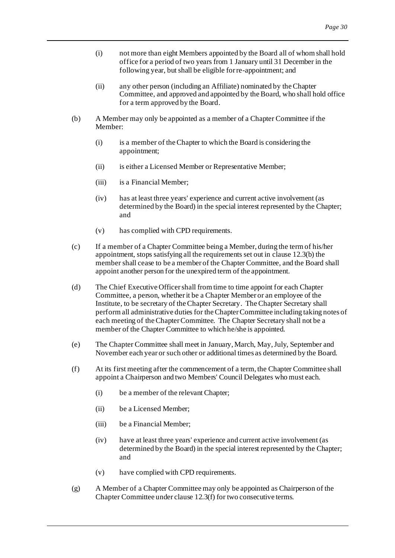- <span id="page-33-4"></span>(i) not more than eight Members appointed by the Board all of whom shall hold office for a period of two years from 1 January until 31 December in the following year, but shall be eligible for re-appointment; and
- (ii) any other person (including an Affiliate) nominated by the Chapter Committee, and approved and appointed by the Board, who shall hold office for a term approved by the Board.
- <span id="page-33-1"></span><span id="page-33-0"></span>(b) A Member may only be appointed as a member of a Chapter Committee if the Member:
	- (i) is a member of the Chapter to which the Board is considering the appointment;
	- (ii) is either a Licensed Member or Representative Member;
	- (iii) is a Financial Member;
	- (iv) has at least three years' experience and current active involvement (as determined by the Board) in the special interest represented by the Chapter; and
	- (v) has complied with CPD requirements.
- (c) If a member of a Chapter Committee being a Member, during the term of his/her appointment, stops satisfying all the requirements set out in claus[e 12.3\(b\)](#page-33-1) the member shall cease to be a member of the Chapter Committee, and the Board shall appoint another person for the unexpired term of the appointment.
- (d) The Chief Executive Officer shall from time to time appoint for each Chapter Committee, a person, whether it be a Chapter Member or an employee of the Institute, to be secretary of the Chapter Secretary. The Chapter Secretary shall perform all administrative duties for the Chapter Committee including taking notes of each meeting of the Chapter Committee. The Chapter Secretary shall not be a member of the Chapter Committee to which he/she is appointed.
- <span id="page-33-3"></span>(e) The Chapter Committee shall meet in January, March, May, July, September and November each year or such other or additional times as determined by the Board.
- <span id="page-33-2"></span>(f) At its first meeting after the commencement of a term, the Chapter Committee shall appoint a Chairperson and two Members' Council Delegates who must each.
	- (i) be a member of the relevant Chapter;
	- (ii) be a Licensed Member;
	- (iii) be a Financial Member;
	- (iv) have at least three years' experience and current active involvement (as determined by the Board) in the special interest represented by the Chapter; and
	- (v) have complied with CPD requirements.
- (g) A Member of a Chapter Committee may only be appointed as Chairperson of the Chapter Committee under claus[e 12.3\(f\)](#page-33-2) for two consecutive terms.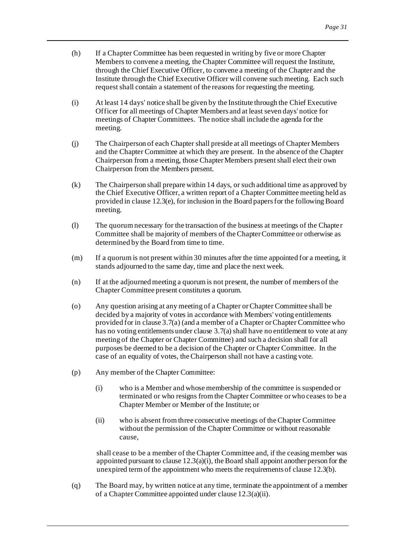- (h) If a Chapter Committee has been requested in writing by five or more Chapter Members to convene a meeting, the Chapter Committee will request the Institute, through the Chief Executive Officer, to convene a meeting of the Chapter and the Institute through the Chief Executive Officer will convene such meeting. Each such request shall contain a statement of the reasons for requesting the meeting.
- (i) At least 14 days' notice shall be given by the Institute through the Chief Executive Officer for all meetings of Chapter Members and at least seven days' notice for meetings of Chapter Committees. The notice shall include the agenda for the meeting.
- (j) The Chairperson of each Chapter shall preside at all meetings of Chapter Members and the Chapter Committee at which they are present. In the absence of the Chapter Chairperson from a meeting, those Chapter Members present shall elect their own Chairperson from the Members present.
- (k) The Chairperson shall prepare within 14 days, or such additional time as approved by the Chief Executive Officer, a written report of a Chapter Committee meeting held as provided in claus[e 12.3\(e\)](#page-33-3), for inclusion in the Board papers for the following Board meeting.
- (l) The quorum necessary for the transaction of the business at meetings of the Chapter Committee shall be majority of members of the Chapter Committee or otherwise as determined by the Board from time to time.
- (m) If a quorum is not present within 30 minutes after the time appointed for a meeting, it stands adjourned to the same day, time and place the next week.
- (n) If at the adjourned meeting a quorum is not present, the number of members of the Chapter Committee present constitutes a quorum.
- (o) Any question arising at any meeting of a Chapter or Chapter Committee shall be decided by a majority of votes in accordance with Members' voting entitlements provided for in claus[e 3.7\(a\)](#page-11-3) (and a member of a Chapter or Chapter Committee who has no voting entitlements under claus[e 3.7\(a\)](#page-11-3) shall have no entitlement to vote at any meeting of the Chapter or Chapter Committee) and such a decision shall for all purposes be deemed to be a decision of the Chapter or Chapter Committee. In the case of an equality of votes, the Chairperson shall not have a casting vote.
- (p) Any member of the Chapter Committee:
	- (i) who is a Member and whose membership of the committee is suspended or terminated or who resigns from the Chapter Committee or who ceases to be a Chapter Member or Member of the Institute; or
	- (ii) who is absent from three consecutive meetings of the Chapter Committee without the permission of the Chapter Committee or without reasonable cause,

shall cease to be a member of the Chapter Committee and, if the ceasing member was appointed pursuant to clause  $12.3(a)(i)$ , the Board shall appoint another person for the unexpired term of the appointment who meets the requirements of claus[e 12.3\(b\)](#page-33-1).

(q) The Board may, by written notice at any time, terminate the appointment of a member of a Chapter Committee appointed under clause [12.3\(a\)\(ii\)](#page-33-0).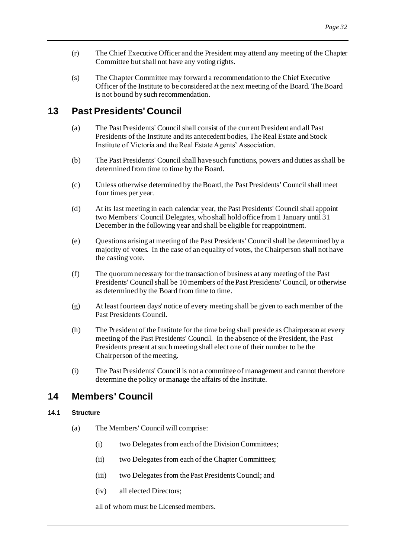- (r) The Chief Executive Officer and the President may attend any meeting of the Chapter Committee but shall not have any voting rights.
- (s) The Chapter Committee may forward a recommendation to the Chief Executive Officer of the Institute to be considered at the next meeting of the Board. The Board is not bound by such recommendation.

# <span id="page-35-4"></span><span id="page-35-0"></span>**13 Past Presidents' Council**

- (a) The Past Presidents' Council shall consist of the current President and all Past Presidents of the Institute and its antecedent bodies, The Real Estate and Stock Institute of Victoria and the Real Estate Agents' Association.
- (b) The Past Presidents' Council shall have such functions, powers and duties as shall be determined from time to time by the Board.
- (c) Unless otherwise determined by the Board, the Past Presidents' Council shall meet four times per year.
- (d) At its last meeting in each calendar year, the Past Presidents' Council shall appoint two Members' Council Delegates, who shall hold office from 1 January until 31 December in the following year and shall be eligible for reappointment.
- (e) Questions arising at meeting of the Past Presidents' Council shall be determined by a majority of votes. In the case of an equality of votes, the Chairperson shall not have the casting vote.
- (f) The quorum necessary for the transaction of business at any meeting of the Past Presidents' Council shall be 10 members of the Past Presidents' Council, or otherwise as determined by the Board from time to time.
- (g) At least fourteen days' notice of every meeting shall be given to each member of the Past Presidents Council.
- (h) The President of the Institute for the time being shall preside as Chairperson at every meeting of the Past Presidents' Council. In the absence of the President, the Past Presidents present at such meeting shall elect one of their number to be the Chairperson of the meeting.
- (i) The Past Presidents' Council is not a committee of management and cannot therefore determine the policy or manage the affairs of the Institute.

# <span id="page-35-3"></span><span id="page-35-1"></span>**14 Members' Council**

# <span id="page-35-2"></span>**14.1 Structure**

- (a) The Members' Council will comprise:
	- (i) two Delegates from each of the Division Committees;
	- (ii) two Delegates from each of the Chapter Committees;
	- (iii) two Delegates from the Past Presidents Council; and
	- (iv) all elected Directors;

all of whom must be Licensed members.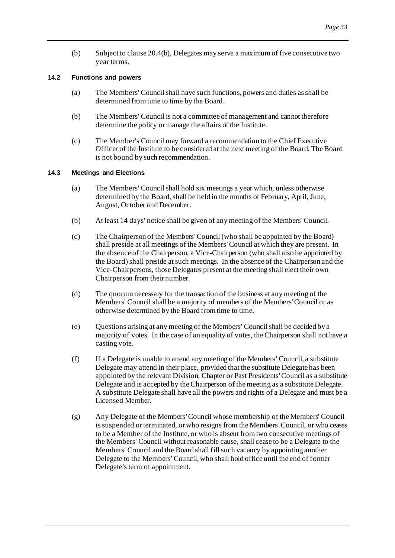(b) Subject to claus[e 20.4\(b\)](#page-49-7), Delegates may serve a maximum of five consecutive two year terms.

### <span id="page-36-0"></span>**14.2 Functions and powers**

- (a) The Members' Council shall have such functions, powers and duties as shall be determined from time to time by the Board.
- (b) The Members' Council is not a committee of management and cannot therefore determine the policy or manage the affairs of the Institute.
- (c) The Member's Council may forward a recommendation to the Chief Executive Officer of the Institute to be considered at the next meeting of the Board. The Board is not bound by such recommendation.

#### <span id="page-36-1"></span>**14.3 Meetings and Elections**

- (a) The Members' Council shall hold six meetings a year which, unless otherwise determined by the Board, shall be held in the months of February, April, June, August, October and December.
- (b) At least 14 days' notice shall be given of any meeting of the Members'Council.
- (c) The Chairperson of the Members'Council (who shall be appointed by the Board) shall preside at all meetings of the Members'Council at which they are present. In the absence of the Chairperson, a Vice-Chairperson (who shall also be appointed by the Board) shall preside at such meetings. In the absence of the Chairperson and the Vice-Chairpersons, those Delegates present at the meeting shall elect their own Chairperson from their number.
- (d) The quorum necessary for the transaction of the business at any meeting of the Members' Council shall be a majority of members of the Members' Council or as otherwise determined by the Board from time to time.
- (e) Questions arising at any meeting of the Members' Council shall be decided by a majority of votes. In the case of an equality of votes, the Chairperson shall not have a casting vote.
- (f) If a Delegate is unable to attend any meeting of the Members' Council, a substitute Delegate may attend in their place, provided that the substitute Delegate has been appointed by the relevant Division, Chapter or Past Presidents'Council as a substitute Delegate and is accepted by the Chairperson of the meeting as a substitute Delegate. A substitute Delegate shall have all the powers and rights of a Delegate and must be a Licensed Member.
- (g) Any Delegate of the Members'Council whose membership of the Members' Council is suspended or terminated, or who resigns from the Members'Council, or who ceases to be a Member of the Institute, or who is absent from two consecutive meetings of the Members' Council without reasonable cause, shall cease to be a Delegate to the Members' Council and the Board shall fill such vacancy by appointing another Delegate to the Members' Council, who shall hold office until the end of former Delegate's term of appointment.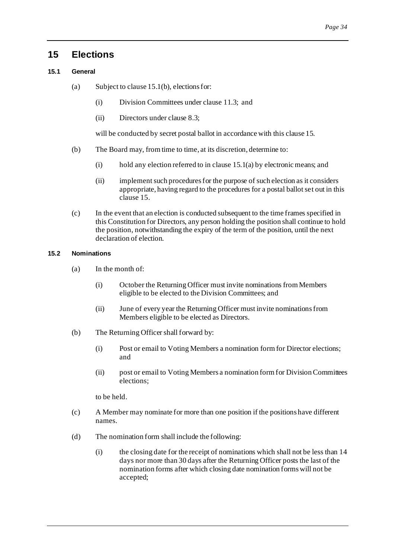# <span id="page-37-3"></span><span id="page-37-0"></span>**15 Elections**

# <span id="page-37-1"></span>**15.1 General**

- (a) Subject to clause 15.1(b), elections for:
	- (i) Division Committees under claus[e 11.3](#page-30-5); and
	- (ii) Directors under claus[e 8.3](#page-23-7);

will be conducted by secret postal ballot in accordance with this claus[e 15](#page-37-3).

- (b) The Board may, from time to time, at its discretion, determine to:
	- (i) hold any election referred to in clause 15.1(a) by electronic means; and
	- (ii) implement such procedures for the purpose of such election as it considers appropriate, having regard to the procedures for a postal ballot set out in this clause 15.
- (c) In the event that an election is conducted subsequent to the time frames specified in this Constitution for Directors, any person holding the position shall continue to hold the position, notwithstanding the expiry of the term of the position, until the next declaration of election.

# <span id="page-37-2"></span>**15.2 Nominations**

- (a) In the month of:
	- (i) October the Returning Officer must invite nominations from Members eligible to be elected to the Division Committees; and
	- (ii) June of every year the Returning Officer must invite nominations from Members eligible to be elected as Directors.
- (b) The Returning Officer shall forward by:
	- (i) Post or email to Voting Members a nomination form for Director elections; and
	- (ii) post or email to Voting Members a nomination form for Division Committees elections;

to be held.

- (c) A Member may nominate for more than one position if the positions have different names.
- (d) The nomination form shall include the following:
	- (i) the closing date for the receipt of nominations which shall not be less than 14 days nor more than 30 days after the Returning Officer posts the last of the nomination forms after which closing date nomination forms will not be accepted;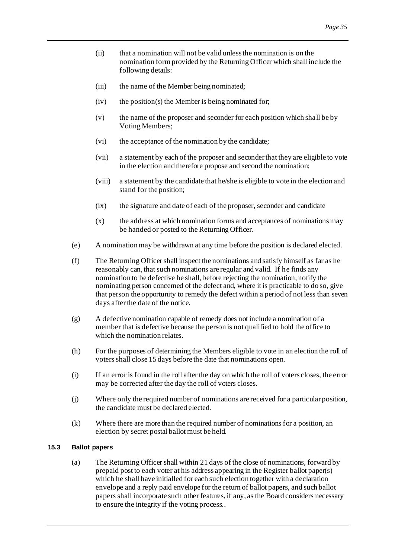- (ii) that a nomination will not be valid unless the nomination is on the nomination form provided by the Returning Officer which shall include the following details:
- (iii) the name of the Member being nominated;
- $(iv)$  the position(s) the Member is being nominated for;
- (v) the name of the proposer and seconder for each position which shall be by Voting Members;
- (vi) the acceptance of the nomination by the candidate;
- (vii) a statement by each of the proposer and seconder that they are eligible to vote in the election and therefore propose and second the nomination;
- (viii) a statement by the candidate that he/she is eligible to vote in the election and stand for the position;
- (ix) the signature and date of each of the proposer, seconder and candidate
- (x) the address at which nomination forms and acceptances of nominations may be handed or posted to the Returning Officer.
- (e) A nomination may be withdrawn at any time before the position is declared elected.
- (f) The Returning Officer shall inspect the nominations and satisfy himself as far as he reasonably can, that such nominations are regular and valid. If he finds any nomination to be defective he shall, before rejecting the nomination, notify the nominating person concerned of the defect and, where it is practicable to do so, give that person the opportunity to remedy the defect within a period of not less than seven days after the date of the notice.
- (g) A defective nomination capable of remedy does not include a nomination of a member that is defective because the person is not qualified to hold the office to which the nomination relates.
- (h) For the purposes of determining the Members eligible to vote in an election the roll of voters shall close 15 days before the date that nominations open.
- (i) If an error is found in the roll after the day on which the roll of voters closes, the error may be corrected after the day the roll of voters closes.
- (j) Where only the required number of nominations are received for a particular position, the candidate must be declared elected.
- (k) Where there are more than the required number of nominations for a position, an election by secret postal ballot must be held.

# <span id="page-38-0"></span>**15.3 Ballot papers**

(a) The Returning Officer shall within 21 days of the close of nominations, forward by prepaid post to each voter at his address appearing in the Register ballot paper(s) which he shall have initialled for each such election together with a declaration envelope and a reply paid envelope for the return of ballot papers, and such ballot papers shall incorporate such other features, if any, as the Board considers necessary to ensure the integrity if the voting process..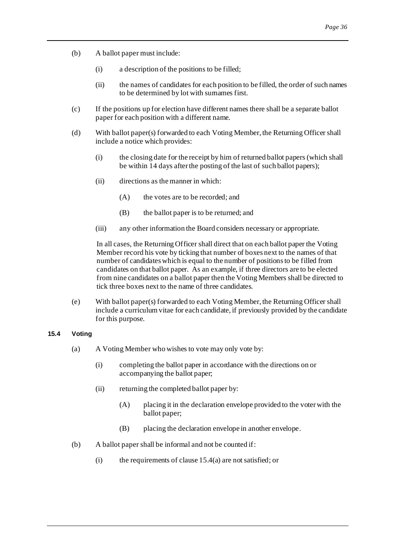- (b) A ballot paper must include:
	- (i) a description of the positions to be filled;
	- (ii) the names of candidates for each position to be filled, the order of such names to be determined by lot with surnames first.
- (c) If the positions up for election have different names there shall be a separate ballot paper for each position with a different name.
- (d) With ballot paper(s) forwarded to each Voting Member, the Returning Officer shall include a notice which provides:
	- (i) the closing date for the receipt by him of returned ballot papers (which shall be within 14 days after the posting of the last of such ballot papers);
	- (ii) directions as the manner in which:
		- (A) the votes are to be recorded; and
		- (B) the ballot paper is to be returned; and
	- (iii) any other information the Board considers necessary or appropriate.

In all cases, the Returning Officer shall direct that on each ballot paper the Voting Member record his vote by ticking that number of boxes next to the names of that number of candidates which is equal to the number of positions to be filled from candidates on that ballot paper. As an example, if three directors are to be elected from nine candidates on a ballot paper then the Voting Members shall be directed to tick three boxes next to the name of three candidates.

(e) With ballot paper(s) forwarded to each Voting Member, the Returning Officer shall include a curriculum vitae for each candidate, if previously provided by the candidate for this purpose.

# <span id="page-39-1"></span><span id="page-39-0"></span>**15.4 Voting**

- (a) A Voting Member who wishes to vote may only vote by:
	- (i) completing the ballot paper in accordance with the directions on or accompanying the ballot paper;
	- (ii) returning the completed ballot paper by:
		- (A) placing it in the declaration envelope provided to the voter with the ballot paper;
		- (B) placing the declaration envelope in another envelope.
- (b) A ballot paper shall be informal and not be counted if:
	- (i) the requirements of clause  $15.4(a)$  are not satisfied; or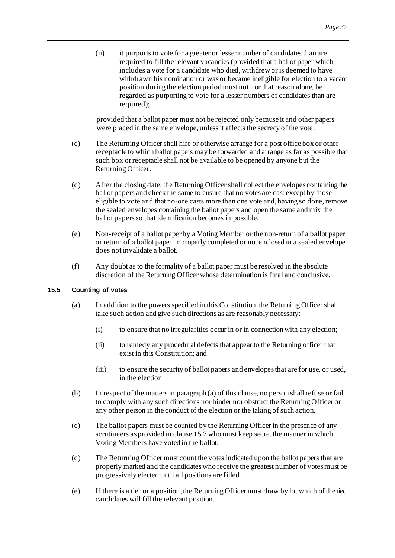(ii) it purports to vote for a greater or lesser number of candidates than are required to fill the relevant vacancies (provided that a ballot paper which includes a vote for a candidate who died, withdrew or is deemed to have withdrawn his nomination or was or became ineligible for election to a vacant position during the election period must not, for that reason alone, be regarded as purporting to vote for a lesser numbers of candidates than are required);

provided that a ballot paper must not be rejected only because it and other papers were placed in the same envelope, unless it affects the secrecy of the vote.

- (c) The Returning Officer shall hire or otherwise arrange for a post office box or other receptacle to which ballot papers may be forwarded and arrange as far as possible that such box or receptacle shall not be available to be opened by anyone but the Returning Officer.
- (d) After the closing date, the Returning Officer shall collect the envelopes containing the ballot papers and check the same to ensure that no votes are cast except by those eligible to vote and that no-one casts more than one vote and, having so done, remove the sealed envelopes containing the ballot papers and open the same and mix the ballot papers so that identification becomes impossible.
- (e) Non-receipt of a ballot paper by a Voting Member or the non-return of a ballot paper or return of a ballot paper improperly completed or not enclosed in a sealed envelope does not invalidate a ballot.
- (f) Any doubt as to the formality of a ballot paper must be resolved in the absolute discretion of the Returning Officer whose determination is final and conclusive.

# <span id="page-40-1"></span><span id="page-40-0"></span>**15.5 Counting of votes**

- (a) In addition to the powers specified in this Constitution, the Returning Officer shall take such action and give such directions as are reasonably necessary:
	- (i) to ensure that no irregularities occur in or in connection with any election;
	- (ii) to remedy any procedural defects that appear to the Returning officer that exist in this Constitution; and
	- (iii) to ensure the security of ballot papers and envelopes that are for use, or used, in the election
- (b) In respect of the matters in paragraph [\(a\)](#page-40-1) of this clause, no person shall refuse or fail to comply with any such directions nor hinder nor obstruct the Returning Officer or any other person in the conduct of the election or the taking of such action.
- (c) The ballot papers must be counted by the Returning Officer in the presence of any scrutineers as provided in claus[e 15.7](#page-41-2) who must keep secret the manner in which Voting Members have voted in the ballot.
- (d) The Returning Officer must count the votes indicated upon the ballot papers that are properly marked and the candidates who receive the greatest number of votes must be progressively elected until all positions are filled.
- (e) If there is a tie for a position, the Returning Officer must draw by lot which of the tied candidates will fill the relevant position.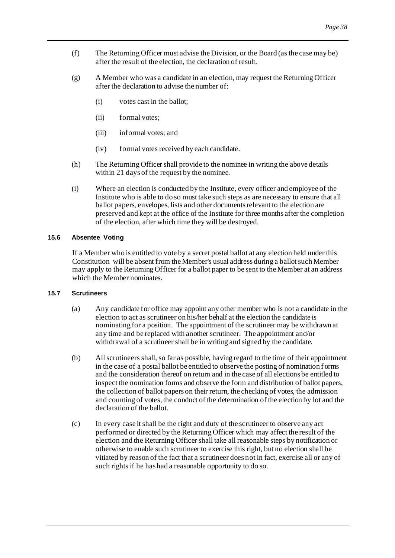- (f) The Returning Officer must advise the Division, or the Board (as the case may be) after the result of the election, the declaration of result.
- (g) A Member who was a candidate in an election, may request the Returning Officer after the declaration to advise the number of:
	- (i) votes cast in the ballot;
	- (ii) formal votes;
	- (iii) informal votes; and
	- (iv) formal votes received by each candidate.
- (h) The Returning Officer shall provide to the nominee in writing the above details within 21 days of the request by the nominee.
- (i) Where an election is conducted by the Institute, every officer and employee of the Institute who is able to do so must take such steps as are necessary to ensure that all ballot papers, envelopes, lists and other documents relevant to the election are preserved and kept at the office of the Institute for three months after the completion of the election, after which time they will be destroyed.

# <span id="page-41-0"></span>**15.6 Absentee Voting**

If a Member who is entitled to vote by a secret postal ballot at any election held under this Constitution will be absent from the Member's usual address during a ballot such Member may apply to the Returning Officer for a ballot paper to be sent to the Member at an address which the Member nominates.

#### <span id="page-41-2"></span><span id="page-41-1"></span>**15.7 Scrutineers**

- (a) Any candidate for office may appoint any other member who is not a candidate in the election to act as scrutineer on his/her behalf at the election the candidate is nominating for a position. The appointment of the scrutineer may be withdrawn at any time and be replaced with another scrutineer. The appointment and/or withdrawal of a scrutineer shall be in writing and signed by the candidate.
- (b) All scrutineers shall, so far as possible, having regard to the time of their appointment in the case of a postal ballot be entitled to observe the posting of nomination f orms and the consideration thereof on return and in the case of all elections be entitled to inspect the nomination forms and observe the form and distribution of ballot papers, the collection of ballot papers on their return, the checking of votes, the admission and counting of votes, the conduct of the determination of the election by lot and the declaration of the ballot.
- (c) In every case it shall be the right and duty of the scrutineer to observe any act performed or directed by the Returning Officer which may affect the result of the election and the Returning Officer shall take all reasonable steps by notification or otherwise to enable such scrutineer to exercise this right, but no election shall be vitiated by reason of the fact that a scrutineer does not in fact, exercise all or any of such rights if he has had a reasonable opportunity to do so.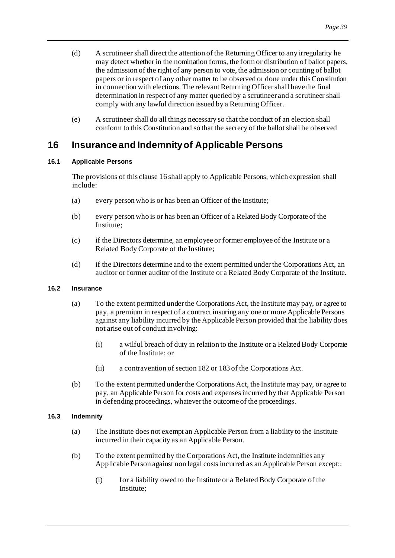- (d) A scrutineer shall direct the attention of the Returning Officer to any irregularity he may detect whether in the nomination forms, the form or distribution of ballot papers, the admission of the right of any person to vote, the admission or counting of ballot papers or in respect of any other matter to be observed or done under this Constitution in connection with elections. The relevant Returning Officer shall have the final determination in respect of any matter queried by a scrutineer and a scrutineer shall comply with any lawful direction issued by a Returning Officer.
- (e) A scrutineer shall do all things necessary so that the conduct of an election shall conform to this Constitution and so that the secrecy of the ballot shall be observed

# <span id="page-42-4"></span><span id="page-42-0"></span>**16 Insurance and Indemnity of Applicable Persons**

# <span id="page-42-1"></span>**16.1 Applicable Persons**

The provisions of this claus[e 16](#page-42-4) shall apply to Applicable Persons, which expression shall include:

- (a) every person who is or has been an Officer of the Institute;
- (b) every person who is or has been an Officer of a Related Body Corporate of the Institute;
- (c) if the Directors determine, an employee or former employee of the Institute or a Related Body Corporate of the Institute;
- (d) if the Directors determine and to the extent permitted under the Corporations Act, an auditor or former auditor of the Institute or a Related Body Corporate of the Institute.

# <span id="page-42-7"></span><span id="page-42-2"></span>**16.2 Insurance**

- (a) To the extent permitted under the Corporations Act, the Institute may pay, or agree to pay, a premium in respect of a contract insuring any one or more Applicable Persons against any liability incurred by the Applicable Person provided that the liability does not arise out of conduct involving:
	- (i) a wilful breach of duty in relation to the Institute or a Related Body Corporate of the Institute; or
	- (ii) a contravention of section 182 or 183 of the Corporations Act.
- (b) To the extent permitted under the Corporations Act, the Institute may pay, or agree to pay, an Applicable Person for costs and expenses incurred by that Applicable Person in defending proceedings, whatever the outcome of the proceedings.

# <span id="page-42-8"></span><span id="page-42-6"></span><span id="page-42-3"></span>**16.3 Indemnity**

- (a) The Institute does not exempt an Applicable Person from a liability to the Institute incurred in their capacity as an Applicable Person.
- <span id="page-42-5"></span>(b) To the extent permitted by the Corporations Act, the Institute indemnifies any Applicable Person against non legal costs incurred as an Applicable Person except::
	- (i) for a liability owed to the Institute or a Related Body Corporate of the Institute;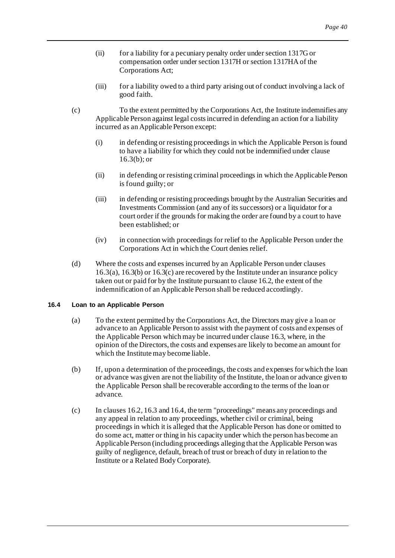- (ii) for a liability for a pecuniary penalty order under section 1317G or compensation order under section 1317H or section 1317HA of the Corporations Act;
- <span id="page-43-1"></span>(iii) for a liability owed to a third party arising out of conduct involving a lack of good faith.
- (c) To the extent permitted by the Corporations Act, the Institute indemnifies any Applicable Person against legal costs incurred in defending an action for a liability incurred as an Applicable Person except:
	- (i) in defending or resisting proceedings in which the Applicable Person is found to have a liability for which they could not be indemnified under clause  $16.3(b)$ ; or
	- (ii) in defending or resisting criminal proceedings in which the Applicable Person is found guilty; or
	- (iii) in defending or resisting proceedings brought by the Australian Securities and Investments Commission (and any of its successors) or a liquidator for a court order if the grounds for making the order are found by a court to have been established; or
	- (iv) in connection with proceedings for relief to the Applicable Person under the Corporations Act in which the Court denies relief.
- (d) Where the costs and expenses incurred by an Applicable Person under clauses [16.3\(a\)](#page-42-6)[, 16.3\(b\)](#page-42-5) o[r 16.3\(c\)](#page-43-1) are recovered by the Institute under an insurance policy taken out or paid for by the Institute pursuant to claus[e 16.2](#page-42-7), the extent of the indemnification of an Applicable Person shall be reduced accordingly.

# <span id="page-43-2"></span><span id="page-43-0"></span>**16.4 Loan to an Applicable Person**

- (a) To the extent permitted by the Corporations Act, the Directors may give a loan or advance to an Applicable Person to assist with the payment of costs and expenses of the Applicable Person which may be incurred under claus[e 16.3](#page-42-8), where, in the opinion of the Directors, the costs and expenses are likely to become an amount for which the Institute may become liable.
- (b) If, upon a determination of the proceedings, the costs and expenses for which the loan or advance was given are not the liability of the Institute, the loan or advance given to the Applicable Person shall be recoverable according to the terms of the loan or advance.
- (c) In clause[s 16.2](#page-42-7)[, 16.3](#page-42-8) an[d 16.4](#page-43-2), the term "proceedings" means any proceedings and any appeal in relation to any proceedings, whether civil or criminal, being proceedings in which it is alleged that the Applicable Person has done or omitted to do some act, matter or thing in his capacity under which the person has become an Applicable Person (including proceedings alleging that the Applicable Person was guilty of negligence, default, breach of trust or breach of duty in relation to the Institute or a Related Body Corporate).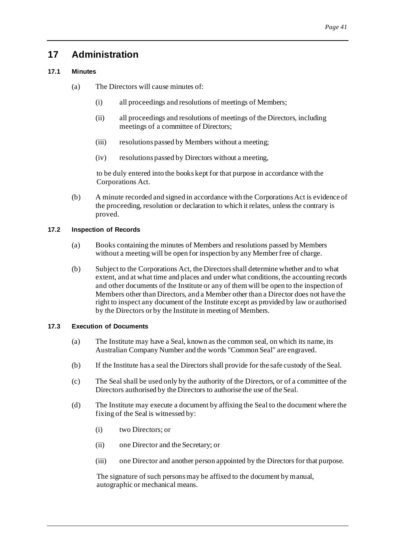# <span id="page-44-0"></span>**17 Administration**

# <span id="page-44-1"></span>**17.1 Minutes**

- (a) The Directors will cause minutes of:
	- (i) all proceedings and resolutions of meetings of Members;
	- (ii) all proceedings and resolutions of meetings of the Directors, including meetings of a committee of Directors;
	- (iii) resolutions passed by Members without a meeting;
	- (iv) resolutions passed by Directors without a meeting,

to be duly entered into the books kept for that purpose in accordance with the Corporations Act.

(b) A minute recorded and signed in accordance with the Corporations Act is evidence of the proceeding, resolution or declaration to which it relates, unless the contrary is proved.

# <span id="page-44-2"></span>**17.2 Inspection of Records**

- (a) Books containing the minutes of Members and resolutions passed by Members without a meeting will be open for inspection by any Member free of charge.
- (b) Subject to the Corporations Act, the Directors shall determine whether and to what extent, and at what time and places and under what conditions, the accounting records and other documents of the Institute or any of them will be open to the inspection of Members other than Directors, and a Member other than a Director does not have the right to inspect any document of the Institute except as provided by law or authorised by the Directors or by the Institute in meeting of Members.

# <span id="page-44-3"></span>**17.3 Execution of Documents**

- (a) The Institute may have a Seal, known as the common seal, on which its name, its Australian Company Number and the words "Common Seal" are engraved.
- (b) If the Institute has a seal the Directors shall provide for the safe custody of the Seal.
- (c) The Seal shall be used only by the authority of the Directors, or of a committee of the Directors authorised by the Directors to authorise the use of the Seal.
- (d) The Institute may execute a document by affixing the Seal to the document where the fixing of the Seal is witnessed by:
	- (i) two Directors; or
	- (ii) one Director and the Secretary; or
	- (iii) one Director and another person appointed by the Directors for that purpose.

The signature of such persons may be affixed to the document by manual, autographic or mechanical means.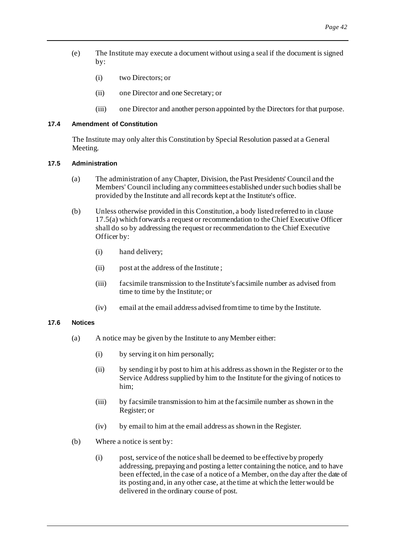- (e) The Institute may execute a document without using a seal if the document is signed by:
	- (i) two Directors; or
	- (ii) one Director and one Secretary; or
	- (iii) one Director and another person appointed by the Directors for that purpose.

# <span id="page-45-0"></span>**17.4 Amendment of Constitution**

The Institute may only alter this Constitution by Special Resolution passed at a General Meeting.

#### <span id="page-45-4"></span><span id="page-45-1"></span>**17.5 Administration**

- (a) The administration of any Chapter, Division, the Past Presidents' Council and the Members' Council including any committees established under such bodies shall be provided by the Institute and all records kept at the Institute's office.
- (b) Unless otherwise provided in this Constitution, a body listed referred to in clause [17.5\(a\)](#page-45-4) which forwards a request or recommendation to the Chief Executive Officer shall do so by addressing the request or recommendation to the Chief Executive Officer by:
	- (i) hand delivery;
	- (ii) post at the address of the Institute ;
	- (iii) facsimile transmission to the Institute's facsimile number as advised from time to time by the Institute; or
	- (iv) email at the email address advised from time to time by the Institute.

#### <span id="page-45-3"></span><span id="page-45-2"></span>**17.6 Notices**

- (a) A notice may be given by the Institute to any Member either:
	- (i) by serving it on him personally;
	- (ii) by sending it by post to him at his address as shown in the Register or to the Service Address supplied by him to the Institute for the giving of notices to him;
	- (iii) by facsimile transmission to him at the facsimile number as shown in the Register; or
	- (iv) by email to him at the email address as shown in the Register.
- (b) Where a notice is sent by:
	- (i) post, service of the notice shall be deemed to be effective by properly addressing, prepaying and posting a letter containing the notice, and to have been effected, in the case of a notice of a Member, on the day after the date of its posting and, in any other case, at the time at which the letter would be delivered in the ordinary course of post.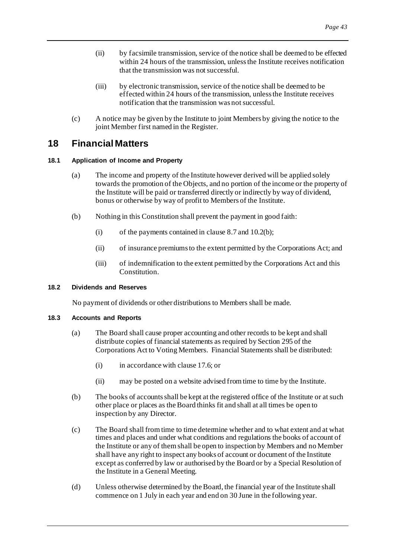- (ii) by facsimile transmission, service of the notice shall be deemed to be effected within 24 hours of the transmission, unless the Institute receives notification that the transmission was not successful.
- (iii) by electronic transmission, service of the notice shall be deemed to be effected within 24 hours of the transmission, unless the Institute receives notification that the transmission was not successful.
- (c) A notice may be given by the Institute to joint Members by giving the notice to the joint Member first named in the Register.

# <span id="page-46-0"></span>**18 Financial Matters**

# <span id="page-46-1"></span>**18.1 Application of Income and Property**

- (a) The income and property of the Institute however derived will be applied solely towards the promotion of the Objects, and no portion of the income or the property of the Institute will be paid or transferred directly or indirectly by way of dividend, bonus or otherwise by way of profit to Members of the Institute.
- (b) Nothing in this Constitution shall prevent the payment in good faith:
	- (i) of the payments contained in claus[e 8.7](#page-24-5) an[d 10.2\(b\)](#page-29-7);
	- (ii) of insurance premiums to the extent permitted by the Corporations Act; and
	- (iii) of indemnification to the extent permitted by the Corporations Act and this Constitution.

### <span id="page-46-2"></span>**18.2 Dividends and Reserves**

No payment of dividends or other distributions to Members shall be made.

#### <span id="page-46-3"></span>**18.3 Accounts and Reports**

- (a) The Board shall cause proper accounting and other records to be kept and shall distribute copies of financial statements as required by Section 295 of the Corporations Act to Voting Members. Financial Statements shall be distributed:
	- (i) in accordance with claus[e 17.6;](#page-45-3) or
	- (ii) may be posted on a website advised from time to time by the Institute.
- (b) The books of accounts shall be kept at the registered office of the Institute or at such other place or places as the Board thinks fit and shall at all times be open to inspection by any Director.
- (c) The Board shall from time to time determine whether and to what extent and at what times and places and under what conditions and regulations the books of account of the Institute or any of them shall be open to inspection by Members and no Member shall have any right to inspect any books of account or document of the Institute except as conferred by law or authorised by the Board or by a Special Resolution of the Institute in a General Meeting.
- (d) Unless otherwise determined by the Board, the financial year of the Institute shall commence on 1 July in each year and end on 30 June in the following year.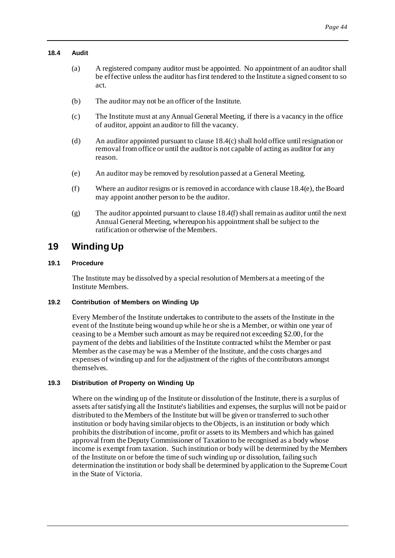#### <span id="page-47-0"></span>**18.4 Audit**

- (a) A registered company auditor must be appointed. No appointment of an auditor shall be effective unless the auditor has first tendered to the Institute a signed consent to so act.
- (b) The auditor may not be an officer of the Institute.
- <span id="page-47-6"></span>(c) The Institute must at any Annual General Meeting, if there is a vacancy in the office of auditor, appoint an auditor to fill the vacancy.
- (d) An auditor appointed pursuant to claus[e 18.4\(c\)](#page-47-6) shall hold office until resignation or removal from office or until the auditor is not capable of acting as auditor for any reason.
- <span id="page-47-7"></span>(e) An auditor may be removed by resolution passed at a General Meeting.
- <span id="page-47-8"></span>(f) Where an auditor resigns or is removed in accordance with claus[e 18.4\(e\)](#page-47-7), the Board may appoint another person to be the auditor.
- $(g)$  The auditor appointed pursuant to claus[e 18.4\(f\)](#page-47-8) shall remain as auditor until the next Annual General Meeting, whereupon his appointment shall be subject to the ratification or otherwise of the Members.

# <span id="page-47-1"></span>**19 Winding Up**

# <span id="page-47-2"></span>**19.1 Procedure**

The Institute may be dissolved by a special resolution of Members at a meeting of the Institute Members.

# <span id="page-47-5"></span><span id="page-47-3"></span>**19.2 Contribution of Members on Winding Up**

Every Member of the Institute undertakes to contribute to the assets of the Institute in the event of the Institute being wound up while he or she is a Member, or within one year of ceasing to be a Member such amount as may be required not exceeding \$2.00, for the payment of the debts and liabilities of the Institute contracted whilst the Member or past Member as the case may be was a Member of the Institute, and the costs charges and expenses of winding up and for the adjustment of the rights of the contributors amongst themselves.

# <span id="page-47-4"></span>**19.3 Distribution of Property on Winding Up**

Where on the winding up of the Institute or dissolution of the Institute, there is a surplus of assets after satisfying all the Institute's liabilities and expenses, the surplus will not be paid or distributed to the Members of the Institute but will be given or transferred to such other institution or body having similar objects to the Objects, is an institution or body which prohibits the distribution of income, profit or assets to its Members and which has gained approval from the Deputy Commissioner of Taxation to be recognised as a body whose income is exempt from taxation. Such institution or body will be determined by the Members of the Institute on or before the time of such winding up or dissolution, failing such determination the institution or body shall be determined by application to the Supreme Court in the State of Victoria.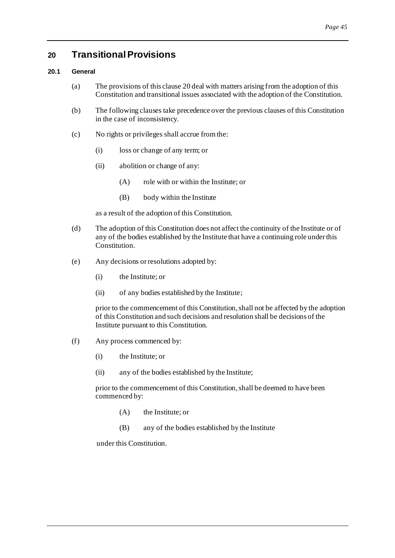# <span id="page-48-2"></span><span id="page-48-0"></span>**20 Transitional Provisions**

# <span id="page-48-1"></span>**20.1 General**

- (a) The provisions of this claus[e 20](#page-48-2) deal with matters arising from the adoption of this Constitution and transitional issues associated with the adoption of the Constitution.
- (b) The following clauses take precedence over the previous clauses of this Constitution in the case of inconsistency.
- (c) No rights or privileges shall accrue from the:
	- (i) loss or change of any term; or
	- (ii) abolition or change of any:
		- (A) role with or within the Institute; or
		- (B) body within the Institute

as a result of the adoption of this Constitution.

- (d) The adoption of this Constitution does not affect the continuity of the Institute or of any of the bodies established by the Institute that have a continuing role under this Constitution.
- (e) Any decisions or resolutions adopted by:
	- (i) the Institute; or
	- (ii) of any bodies established by the Institute;

prior to the commencement of this Constitution, shall not be affected by the adoption of this Constitution and such decisions and resolution shall be decisions of the Institute pursuant to this Constitution.

- (f) Any process commenced by:
	- (i) the Institute; or
	- (ii) any of the bodies established by the Institute;

prior to the commencement of this Constitution, shall be deemed to have been commenced by:

- (A) the Institute; or
- (B) any of the bodies established by the Institute

under this Constitution.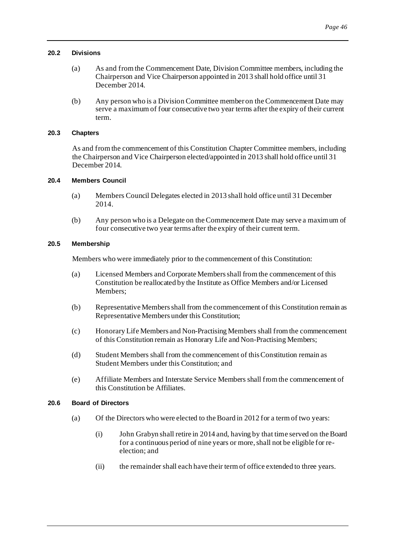#### <span id="page-49-0"></span>**20.2 Divisions**

- (a) As and from the Commencement Date, Division Committee members, including the Chairperson and Vice Chairperson appointed in 2013 shall hold office until 31 December 2014.
- <span id="page-49-6"></span>(b) Any person who is a Division Committee member on the Commencement Date may serve a maximum of four consecutive two year terms after the expiry of their current term.

# <span id="page-49-1"></span>**20.3 Chapters**

As and from the commencement of this Constitution Chapter Committee members, including the Chairperson and Vice Chairperson elected/appointed in 2013 shall hold office until 31 December 2014.

#### <span id="page-49-2"></span>**20.4 Members Council**

- (a) Members Council Delegates elected in 2013 shall hold office until 31 December 2014.
- (b) Any person who is a Delegate on the Commencement Date may serve a maximum of four consecutive two year terms after the expiry of their current term.

#### <span id="page-49-7"></span><span id="page-49-3"></span>**20.5 Membership**

Members who were immediately prior to the commencement of this Constitution:

- (a) Licensed Members and Corporate Members shall from the commencement of this Constitution be reallocated by the Institute as Office Members and/or Licensed Members;
- (b) Representative Members shall from the commencement of this Constitution remain as Representative Members under this Constitution;
- (c) Honorary Life Members and Non-Practising Members shall from the commencement of this Constitution remain as Honorary Life and Non-Practising Members;
- (d) Student Members shall from the commencement of this Constitution remain as Student Members under this Constitution; and
- (e) Affiliate Members and Interstate Service Members shall from the commencement of this Constitution be Affiliates.

# <span id="page-49-5"></span><span id="page-49-4"></span>**20.6 Board of Directors**

- (a) Of the Directors who were elected to the Board in 2012 for a term of two years:
	- (i) John Grabyn shall retire in 2014 and, having by that time served on the Board for a continuous period of nine years or more, shall not be eligible for reelection; and
	- (ii) the remainder shall each have their term of office extended to three years.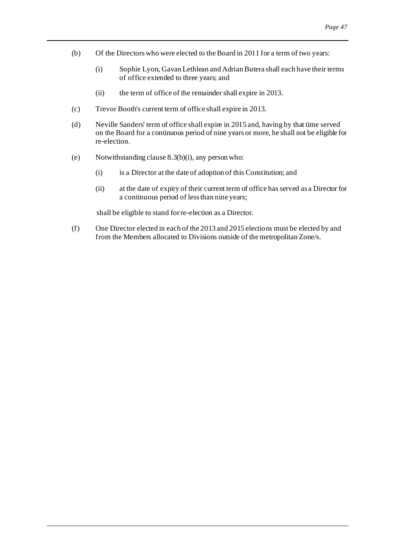- (b) Of the Directorswho were elected to the Board in 2011 for a term of two years:
	- (i) Sophie Lyon, Gavan Lethlean and Adrian Butera shall each have their terms of office extended to three years; and
	- (ii) the term of office of the remainder shall expire in 2013.
- (c) Trevor Booth's current term of office shall expire in 2013.
- (d) Neville Sanders' term of office shall expire in 2015 and, having by that time served on the Board for a continuous period of nine years or more, he shall not be eligible for re-election.
- (e) Notwithstanding clause  $8.3(b)(i)$ , any person who:
	- (i) is a Director at the date of adoption of this Constitution; and
	- (ii) at the date of expiry of their current term of office has served as a Director for a continuous period of less than nine years;

shall be eligible to stand for re-election as a Director.

(f) One Director elected in each of the 2013 and 2015 elections must be elected by and from the Members allocated to Divisions outside of the metropolitan Zone/s.